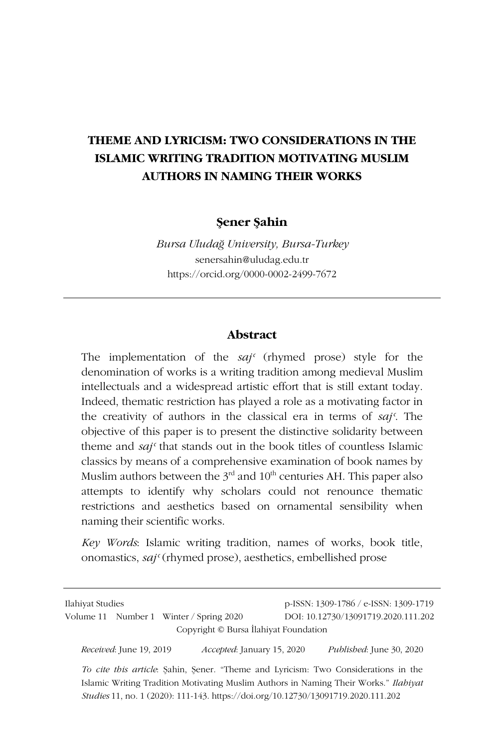# **THEME AND LYRICISM: TWO CONSIDERATIONS IN THE ISLAMIC WRITING TRADITION MOTIVATING MUSLIM AUTHORS IN NAMING THEIR WORKS**

### **Şener Şahin**

*Bursa Uludağ University, Bursa-Turkey* senersahin@uludag.edu.tr https://orcid.org/0000-0002-2499-7672

#### **Abstract**

The implementation of the *sajʿ* (rhymed prose) style for the denomination of works is a writing tradition among medieval Muslim intellectuals and a widespread artistic effort that is still extant today. Indeed, thematic restriction has played a role as a motivating factor in the creativity of authors in the classical era in terms of *sajʿ*. The objective of this paper is to present the distinctive solidarity between theme and *sajʿ* that stands out in the book titles of countless Islamic classics by means of a comprehensive examination of book names by Muslim authors between the  $3<sup>rd</sup>$  and  $10<sup>th</sup>$  centuries AH. This paper also attempts to identify why scholars could not renounce thematic restrictions and aesthetics based on ornamental sensibility when naming their scientific works.

*Key Words*: Islamic writing tradition, names of works, book title, onomastics, *sajʿ* (rhymed prose), aesthetics, embellished prose

| Ilahiyat Studies                        |                                       | p-ISSN: 1309-1786 / e-ISSN: 1309-1719 |
|-----------------------------------------|---------------------------------------|---------------------------------------|
| Volume 11 Number 1 Winter / Spring 2020 |                                       | DOI: 10.12730/13091719.2020.111.202   |
|                                         | Copyright © Bursa Ilahiyat Foundation |                                       |
| Received: June 19, 2019                 | <i>Accepted: January 15, 2020</i>     | <i>Published:</i> June 30, 2020       |

*To cite this article*: Şahin, Şener. "Theme and Lyricism: Two Considerations in the Islamic Writing Tradition Motivating Muslim Authors in Naming Their Works." *Ilahiyat Studies* 11, no. 1 (2020): 111-143. https://doi.org/10.12730/13091719.2020.111.202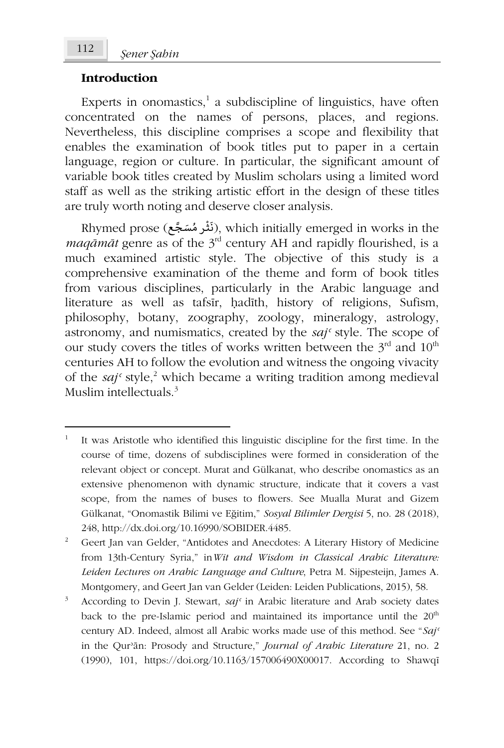# **Introduction**

Experts in onomastics,<sup>1</sup> a subdiscipline of linguistics, have often concentrated on the names of persons, places, and regions. Nevertheless, this discipline comprises a scope and flexibility that enables the examination of book titles put to paper in a certain language, region or culture. In particular, the significant amount of variable book titles created by Muslim scholars using a limited word staff as well as the striking artistic effort in the design of these titles are truly worth noting and deserve closer analysis.

Rhymed prose (ذَنْثُر مُسَجَّع), which initially emerged in works in the ُ *maqāmāt* genre as of the 3rd century AH and rapidly flourished, is a much examined artistic style. The objective of this study is a comprehensive examination of the theme and form of book titles from various disciplines, particularly in the Arabic language and literature as well as tafsīr, ḥadīth, history of religions, Sufism, philosophy, botany, zoography, zoology, mineralogy, astrology, astronomy, and numismatics, created by the *sajʿ* style. The scope of our study covers the titles of works written between the  $3<sup>rd</sup>$  and  $10<sup>th</sup>$ centuries AH to follow the evolution and witness the ongoing vivacity of the *saj*<sup>*c*</sup> style,<sup>2</sup> which became a writing tradition among medieval Muslim intellectuals. $3$ 

<sup>1</sup> It was Aristotle who identified this linguistic discipline for the first time. In the course of time, dozens of subdisciplines were formed in consideration of the relevant object or concept. Murat and Gülkanat, who describe onomastics as an extensive phenomenon with dynamic structure, indicate that it covers a vast scope, from the names of buses to flowers. See Mualla Murat and Gizem Gülkanat, "Onomastik Bilimi ve Eğitim," *Sosyal Bilimler Dergisi* 5, no. 28 (2018), 248, http://dx.doi.org/10.16990/SOBIDER.4485.

<sup>2</sup> Geert Jan van Gelder, "Antidotes and Anecdotes: A Literary History of Medicine from 13th-Century Syria," in*Wit and Wisdom in Classical Arabic Literature: Leiden Lectures on Arabic Language and Culture*, Petra M. Sijpesteijn, James A. Montgomery, and Geert Jan van Gelder (Leiden: Leiden Publications, 2015), 58.

<sup>3</sup> According to Devin J. Stewart, *sajʿ* in Arabic literature and Arab society dates back to the pre-Islamic period and maintained its importance until the  $20<sup>th</sup>$ century AD. Indeed, almost all Arabic works made use of this method. See "*Sajʿ* in the Qurʾān: Prosody and Structure," *Journal of Arabic Literature* 21, no. 2 (1990), 101, https://doi.org/10.1163/157006490X00017. According to Shawqī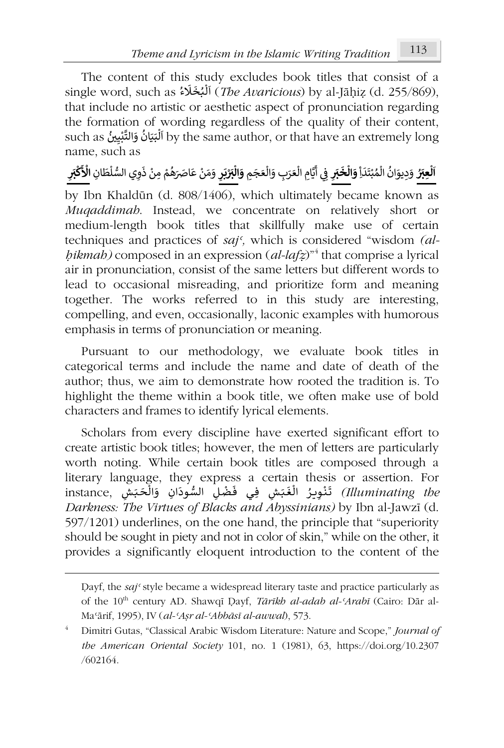The content of this study excludes book titles that consist of a single word, such as َ خ ᘘ ل ᠐ ء َ ᢾ (*The Avaricious*) by al-Jāḥiẓ (d. 255/869), .<br>و 니<br>የ ا ُ that include no artistic or aesthetic aspect of pronunciation regarding the formation of wording regardless of the quality of their content, such as ٱلْبَيْنُ such as ٱلْبَيْنُ وَالتَّبْدِينُ such as ٱلْبَيْنُ وَالتَّبْدِينُ such as ٱلْبَيْنَانُ وَالت ነ<br>የ ا ُ **់** َname, such as

**اَلْعِبۡرُ ۚ وَدِيوَانُ الْمُبْتَدَاِۚ <b>وَالْخَبَرِ ۚ فِي** أَيَّامِ الْعَرَبِ وَالْعَجَمِ **᠔** ْ ٍ<br>؞ ᠔ ُ**َ ᠔ َ**፡<br>የ َ᠔ ᠐ أ ِفِي أَيَّامِ الْعَرَبِ وَالْعَجَمِ **وَالْبَرْيَرِ** وَمَنْ عَاصَرَهُمْ مِنْ ذَوِي السُّلْطَانِ الْأَكْبَرِ ᡧ **᠔ َ**ؚ<br>ا ْ ֦֧֦֧ ُ ْ **᠔**

by Ibn Khaldūn (d. 808/1406), which ultimately became known as *Muqaddimah*. Instead, we concentrate on relatively short or medium-length book titles that skillfully make use of certain techniques and practices of *sajʿ,* which is considered "wisdom *(alḥikmah)* composed in an expression (*al-lafẓ*)"<sup>4</sup> that comprise a lyrical air in pronunciation, consist of the same letters but different words to lead to occasional misreading, and prioritize form and meaning together. The works referred to in this study are interesting, compelling, and even, occasionally, laconic examples with humorous emphasis in terms of pronunciation or meaning.

Pursuant to our methodology, we evaluate book titles in categorical terms and include the name and date of death of the author; thus, we aim to demonstrate how rooted the tradition is. To highlight the theme within a book title, we often make use of bold characters and frames to identify lyrical elements.

Scholars from every discipline have exerted significant effort to create artistic book titles; however, the men of letters are particularly worth noting. While certain book titles are composed through a literary language, they express a certain thesis or assertion. For instance, وَالْحَبَشِ فِي فَضْلِ السُّودَانِ وَالْحَبَشِ instance,<br>تَنْوِيرُ الْغَبَشِ فِي فَضْلِ السُّودَانِ وَالْحَبَشِ .<br>۽ .<br>የ ُـ ֦֧֖֖֖֚֚֟֓֟֓֓֝֬֝֓**֓**  $\frac{1}{2}$ َisange, they express a centain arests or assertion. For.<br>*Illuminating the)* تَنْوِيرُ الْغَبَشِ فِي فَضْلِ السُّودَانِ وَالْحَبَشِ *Darkness: The Virtues of Blacks and Abyssinians)* by Ibn al-Jawzī (d. 597/1201) underlines, on the one hand, the principle that "superiority should be sought in piety and not in color of skin," while on the other, it provides a significantly eloquent introduction to the content of the

Ḍayf, the *sajʿ* style became a widespread literary taste and practice particularly as of the 10<sup>th</sup> century AD. Shawqī Dayf, *Tārīkh al-adab al-*<sup>*Arabī* (Cairo: Dār al-</sup> Maʿārif, 1995), IV (*al-ʿAṣr al-ʿAbbāsī al-awwal*), 573.

<sup>4</sup> Dimitri Gutas, "Classical Arabic Wisdom Literature: Nature and Scope," *Journal of the American Oriental Society* 101, no. 1 (1981), 63, https://doi.org/10.2307 /602164.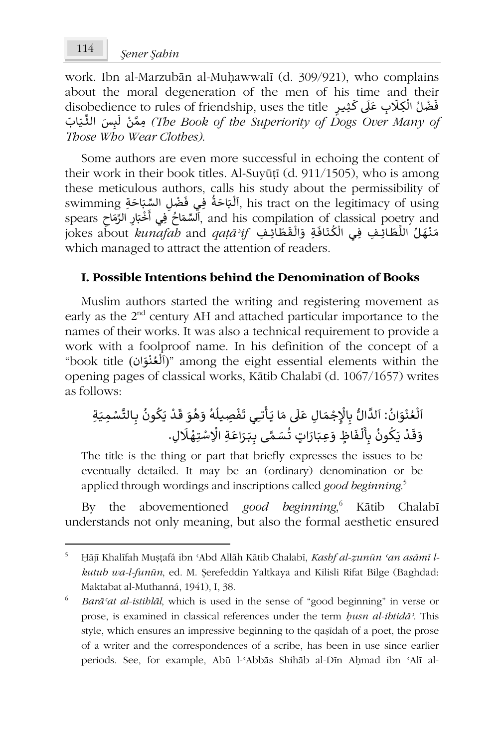work. Ibn al-Marzubān al-Muḥawwalī (d. 309/921), who complains about the moral degeneration of the men of his time and their about the moral degeneration of the men of his time and then<br>فَضْلُ الْكِلَابِ عَلَى كَثِيرٍ disobedience to rules of friendship, uses the title ፡<br>የ َس ال ِ ᛞ ᠐ ل ن َّ ِمم ِّ ثـ َ ᘭـ َ اب*) The Book of the Superiority of Dogs Over Many of* ֦֧֦֧֧֦֚֝*֬* ـ *Those Who Wear Clothes)*.

Some authors are even more successful in echoing the content of their work in their book titles. Al-Suyūṭī (d. 911/1505), who is among these meticulous authors, calls his study about the permissibility of inese ineticulous additors, cans ins study about the perinissionity of<br>Mixtarct on the legitimacy of using ,آلَبْاحَةُ فِي فَضْلِ السِّبَاحَةِ , ا ፡<br>የ ُ ََwilling السَّبِّ وَسَمَّلٍ السَّنَّارِ الرِّمَاحِ spears<br>spears ٱلسِّمَاحُ فِي أَخْبَارِ الرِّمَاحِ spears ٱلسِّمَاحُ فِي أَخْبَارِ الرِّمَاحِ ر<br>و َ֦֧֦֧֦֧֦֧֦֧֦֧֦֧֦֧֝֜*֚* ์<br>เ speas (السفاع العربية, and his comphanon of classical pocuy and<br>مَنْهَلُ اللَّطَائِفِ فِي الْكُنَافَةِ وَالْقَطَائِفِ *j*okes about *kunafab* and *qaṭāʾif* ْ ُ᠑ ᠔ ֪֪֚֚֚֚֚֚֚֚֚֚֚֚֚֚֚֚֚֚֚֝֝֝֝֝**֓** เ ֖֖֖֖֖֖֖֖֚֚֚֚֚֚֚֚֚֚֚֚֚֚֚֚֝֝֝**֚** which managed to attract the attention of readers.

# **I. Possible Intentions behind the Denomination of Books**

Muslim authors started the writing and registering movement as early as the 2<sup>nd</sup> century AH and attached particular importance to the names of their works. It was also a technical requirement to provide a work with a foolproof name. In his definition of the concept of a work with a footproof name. In its definition of the concept of a<br>"book title (أَلْعُنُوَانْ)" among the eight essential elements within the .<br>י ُ ᠔ opening pages of classical works, Kātib Chalabī (d. 1067/1657) writes as follows:

َ م ْ ِ ج ْ الإ ِ ᗷ ُّ َّ ال ᠐ لد : ا ُ َ ان و ْ ن ُ ع ᠔ ل ᠐ ا ـ َ َ ا ᘌ م ᠐ ᣢ َ ال ع ِ ـ ت ᠔ ِص ᅮ ᘭ ِ أ ْ ف َ ُ ي ت ـ ه ᠑ ل َ و ُ ه َ و َ قـ ُ ون ᠑ َ ᘌ ْ ِ د ᗷـ َّ ِم التـ ْ س ـ َ ِة ᘭـ َ ق َ و ـ َ ᘌ ْ د ـ ᠔ ل ᠐ أ ِ ᗷ ُ ون ᠑ ِع ك ـ َ ٍ اظ و َ ف ـ َ ᘘـ ُ ٍ ات ت َ َ ار ـ سـ َّ ِ مـ َ ى ᗷـ ᘘـ َ َ اع ِة ِ ر ـ ْ ِت اᢺ ْ س ـ ْ ِلهـ َ . ᢾ

The title is the thing or part that briefly expresses the issues to be eventually detailed. It may be an (ordinary) denomination or be applied through wordings and inscriptions called *good beginning*. 5

By the abovementioned *good beginning*, 6 Kātib Chalabī understands not only meaning, but also the formal aesthetic ensured

<sup>5</sup> Ḥājī Khalīfah Muṣṭafá ibn ʿAbd Allāh Kātib Chalabī, *Kashf al-ẓunūn ʿan asāmī lkutub wa-l-funūn*, ed. M. Şerefeddin Yaltkaya and Kilisli Rifat Bilge (Baghdad: Maktabat al-Muthanná, 1941), I, 38.

<sup>6</sup> *Barāʿat al-istihlāl*, which is used in the sense of "good beginning" in verse or prose, is examined in classical references under the term *ḥusn al-ibtidāʾ*. This style, which ensures an impressive beginning to the qaṣīdah of a poet, the prose of a writer and the correspondences of a scribe, has been in use since earlier periods. See, for example, Abū l-ʿAbbās Shihāb al-Dīn Aḥmad ibn ʿAlī al-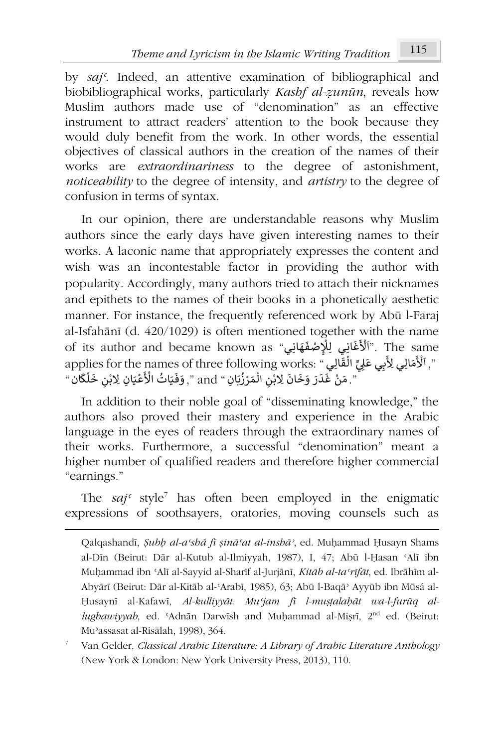by *sajʿ*. Indeed, an attentive examination of bibliographical and biobibliographical works, particularly *Kashf al-ẓunūn*, reveals how Muslim authors made use of "denomination" as an effective instrument to attract readers' attention to the book because they would duly benefit from the work. In other words, the essential objectives of classical authors in the creation of the names of their works are *extraordinariness* to the degree of astonishment, *noticeability* to the degree of intensity, and *artistry* to the degree of confusion in terms of syntax.

In our opinion, there are understandable reasons why Muslim authors since the early days have given interesting names to their works. A laconic name that appropriately expresses the content and wish was an incontestable factor in providing the author with popularity. Accordingly, many authors tried to attach their nicknames and epithets to the names of their books in a phonetically aesthetic manner. For instance, the frequently referenced work by Abū l-Faraj al-Isfahānī (d. 420/1029) is often mentioned together with the name ai-isianam (d. 420/1029) is onen memoned togemer w<br>اَلْأَغَانِي لِلْإِصْفَهَانِي" of its author and became known as َrice together with the name."<br>The same" (أَلْأَغَانِي لِلْإِصْفَهَانِي  $\frac{5}{1}$ applies for the names of three following works: " أَلْأَمَالِي لِأَبِي عَلِيٍّ الْقَالِيِ ".<br>", اَلْأَمَالِي لِأَبِي عَلِيٍّ الْقَالِيِ ". . . َ፡ ، الفارِي :The Barnes Or unee ronowing works.<br>". مَنْ غَدَرَ وَخَانَ لِابْنِ الْمَرْزُٰبَانِ " and ", وَفَيَاتُ الْأَعْيَانِ لِابْنِ خَلَّكَان " ֧֚֚֝֝<br>֧<u>֝</u> ֺ<u>֓</u> ֦֧<u>֝</u> ْ ؚ<br>; ֦֧֦֧֧֦֧֦֧֦֧֦֧֚֝ ُ ֦֧<sup>֚</sup>

In addition to their noble goal of "disseminating knowledge," the authors also proved their mastery and experience in the Arabic language in the eyes of readers through the extraordinary names of their works. Furthermore, a successful "denomination" meant a higher number of qualified readers and therefore higher commercial "earnings."

The *sajʿ* style<sup>7</sup> has often been employed in the enigmatic expressions of soothsayers, oratories, moving counsels such as

Qalqashandī, *Ṣubḥ al-aʿshá fī ṣināʿat al-inshāʾ*, ed. Muḥammad Ḥusayn Shams al-Dīn (Beirut: Dār al-Kutub al-Ilmiyyah, 1987), I, 47; Abū l-Ḥasan ʿAlī ibn Muḥammad ibn ʿAlī al-Sayyid al-Sharīf al-Jurjānī, *Kitāb al-taʿrīfāt*, ed. Ibrāhīm al-Abyārī (Beirut: Dār al-Kitāb al-ʿArabī, 1985), 63; Abū l-Baqāʾ Ayyūb ibn Mūsá al-Ḥusaynī al-Kafawī, *Al-kulliyyāt: Muʿjam fī l-muṣṭalaḥāt wa-l-furūq allughawiyyah*, ed. ʿAdnān Darwīsh and Muḥammad al-Miṣrī, 2nd ed. (Beirut: Muʾassasat al-Risālah, 1998), 364.

<sup>7</sup> Van Gelder, *Classical Arabic Literature: A Library of Arabic Literature Anthology* (New York & London: New York University Press, 2013), 110.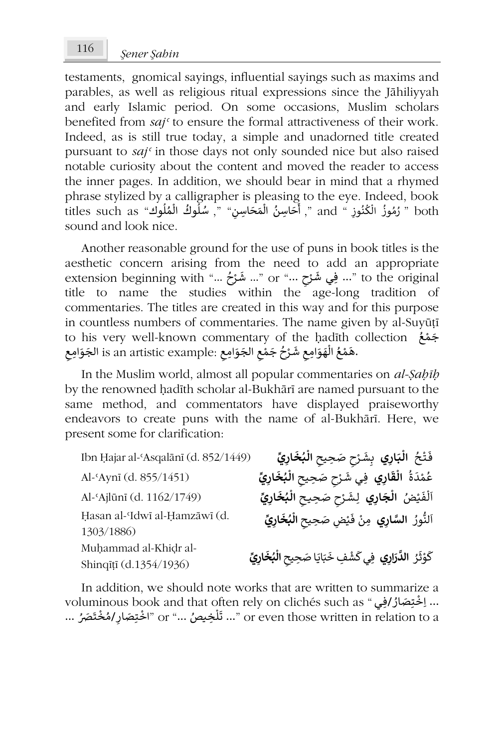testaments, gnomical sayings, influential sayings such as maxims and parables, as well as religious ritual expressions since the Jāhiliyyah and early Islamic period. On some occasions, Muslim scholars benefited from *sajʿ* to ensure the formal attractiveness of their work. Indeed, as is still true today, a simple and unadorned title created pursuant to *sajʿ* in those days not only sounded nice but also raised notable curiosity about the content and moved the reader to access the inner pages. In addition, we should bear in mind that a rhymed phrase stylized by a calligrapher is pleasing to the eye. Indeed, book titles such as "فَاسَنا" ", "سُلُوكُ الْمُلُوكُ "titles such as" أَحَاسِنُ الْمَحَاسِنِ" ", سُلُوكُ الْمُلُوك .<br>أ ्<br>ृ ፡<br>የ ِ<br>ا ኔ<br>የ أ ᠔ ُُِّ ُُ!<br>ይ ᠔ sound and look nice.

Another reasonable ground for the use of puns in book titles is the aesthetic concern arising from the need to add an appropriate extension beginning with "... تَشَوَّخْ ..." or "... تَشَوَّخْ ... " or "... فِي شَوْحْ ...." or "... فِي شَوْ ً<br>و ֦֧<sup>֟</sup> ـ ់<br><sup>្</sup> title to name the studies within the age-long tradition of commentaries. The titles are created in this way and for this purpose in countless numbers of commentaries. The name given by al-Suyūṭī to his very well-known commentary of the ḥadīth collection ُ ع م َ ج ْ wen Known commentary or the mathrix<br>.هَمْعُ الْهَوَامِعِ شَرْحُ جَمْعِ الجَوَامِعِ :is an artistic example الجَوَامِعِ ُ ֦֧֦֧֦֧֦֧֦֧֦֧֝ ᠔ َا<br>و ْ ا<br>م

In the Muslim world, almost all popular commentaries on *al-Ṣaḥīḥ* by the renowned hadīth scholar al-Bukhārī are named pursuant to the same method, and commentators have displayed praiseworthy endeavors to create puns with the name of al-Bukhārī. Here, we present some for clarification:

> ْ ُ **᠔**

> > ۠ ٍ<br>م

ُ

᠔

᠐

֦֧<sup>֟</sup>

```
Ibn Ḥajar al-ʿAsqalānī (d. 852/1449) َ
فـ
تـ
ح
َ
ᘘ
ال ـ ي
᠒
َار
ِش
ᚽ ـ
᠒
ِحيح
᠒ صَ
ح
ᖁ᠔
 ال
خ
ᘘ
᠒
يِّ ار
                                                                                       ْ
                                                                    َُ
Al-ʿAynī (d. 855/1451) ُ
ة
َ
د
م
᠒ ع ي
 ار
ق
ِف ال
َ
᠒ ي شـ
ِحيح
᠒ صَ
ح
ᖁ ᠒
 ار
خ
ᘘ
يِّ ال
                                                                                                  َ᠔
                                                                                        ـ
                                                                                 ់<br>៖
                                                              َُ
                                                                 ᠔
Al-ʿAjlūnī (d. 1162/1749) ضُ ْ
ᘭ
َ
ف
ل
᠐
ا ي
᠒
 ار
ج
ِ ال
لـ
َ
ِحᘭ
شـ
᠒ صَ
ح
ᖁ ـ
᠒
ح
َ
خ
ᘘ
᠒يِّ ال
ار
                                                                                                َ᠔
                                                                                  ْ
                                                                ُ
                                                                  ᠔
Ḥasan al-ʿIdwī al-Ḥamzāwī (d.
1303/1886)
                                                          النُّورُ  السَّارِي  مِنْ فَيْضٍ صَحِيحِ الْبُخَارِيِّ
                                                                                    ំ
                                                                                        ْ
                                                                 ُ
                                                                   ᠔
                                                               َMuḥammad al-Khiḍr al-
Shinqīṭī (d.1354/1936)
                                                     كَوْثَرُ ا<mark>لدَّرَارِي فِي كَشْفِ خَبَايَا صَحِيحِ الْبُخَارِيِّ</mark>
                                                                                                   َـ
                                                                                     ֦֧֦֧֦֧֦֧֦֧֦֧֦֧֦֧֦֧֦֧֦֧֦֧֦֧֦֧֦֦
                                                                          َ᠔
                                                          َُ
```
In addition, we should note works that are written to summarize a m addition, we choose hold more works that the written to committing a<br>... اِخْتِصَادُ /فِي " voluminous book and that often rely on clichés such as ِّ ْ ... إسبيصار روبي and that onen rely on enencs such as ...<br>or even those written in relation to a "... تَلْخِيصُ ..." or "اخْتِصَادِ/مُخْتَصَرُ ... ْ ֖**֓** ្ត្ )<br>i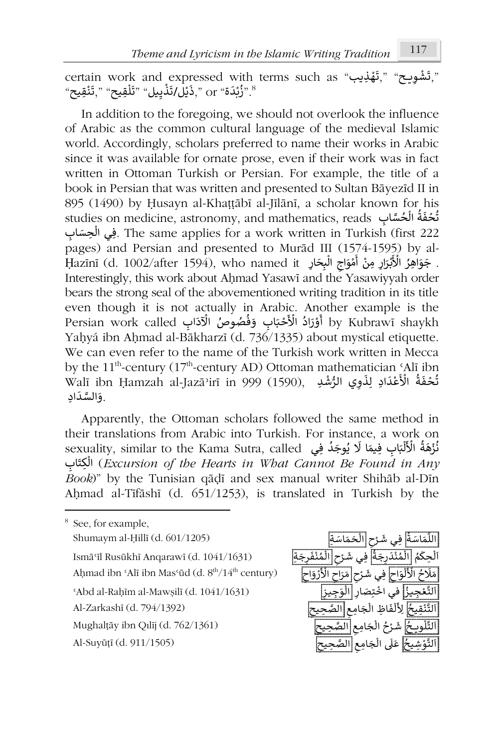certain work and expressed with terms such as "بَقْفِنِيب," "certain work and expressed with terms such as ់<br>" ំ CCTIAIIT WOLK AND CXPICSSCU WIII<br>«رُبْدَة" or ",ذَيْل/تَذْيِيل" "تَلْقِيح" ",تَنْقِيح", ْ ነ<br>ነ ֦֧֧<u>֦</u> ֦֧֦֧֧֦֚֝*֬* ֦֧<sup>֟</sup>֓ ا<br>پ

In addition to the foregoing, we should not overlook the influence of Arabic as the common cultural language of the medieval Islamic world. Accordingly, scholars preferred to name their works in Arabic since it was available for ornate prose, even if their work was in fact written in Ottoman Turkish or Persian. For example, the title of a book in Persian that was written and presented to Sultan Bāyezīd II in 895 (1490) by Ḥusayn al-Khaṭṭābī al-Jīlānī, a scholar known for his studies on medicine, astronomy, and mathematics, reads الجُسَّابِ studies on medicine, astronomy, and mathematics, reads ُ ر<br>و ነ<br>የ ِفِي الْحِسَابِ . The same applies for a work written in Turkish (first 222 ᠔ pages) and Persian and presented to Murād III (1574-1595) by al-<br> $\frac{1}{2}$   $\frac{1}{2}$  (1.1000/ $\frac{6}{2}$  –150) بَيْدَ الْمُؤْتِزِرِ مِنْ أَمْوَاجِ الْبِحَارِ ۚ Hazīnī (d. 1002/after 1594), who named it ٍ<br>' ነ<br>የ **่** ֦֧֦֧֦֧֦֧֦֧֦֧֝֝ أ ْ ֺ֖֖֧֚֚֚֚֚֚֚֚֚֚֚֚֚֚֝֝֓֝֓֡֝֬֝֓<u>֚</u> Interestingly, this work about Ahmad Yasawī and the Yasawiyyah order bears the strong seal of the abovementioned writing tradition in its title even though it is not actually in Arabic. Another example is the even though it is not actually in ruable. This<br>وَرَادُ الْأَحْبَابِ وَفُصُوصُ الْآذَابِ Dersian work called َ֧֧֚֝֝ أ ֦֧֦֧֦֧֦֧֦֧֦֧֦֧֦ tetuany in Thable. Thiother example is the<br>by Kubrawī shaykh أَوْرَادُ الْأَحْبَابِ وَفُصُوصُ الْآدَ ْ <u>!</u> Yahyá ibn Ahmad al-Bākharzī (d. 736/1335) about mystical etiquette. We can even refer to the name of the Turkish work written in Mecca by the  $11<sup>th</sup>$ -century ( $17<sup>th</sup>$ -century AD) Ottoman mathematician 'Alī ibn by the TT -century (T/ -century AD) Ottoman mathematician SAn ibn<br>تُحْفَةُ الْأَعْدَادِ لِذَوِي الرُّشْدِ ,(1590) (1590), لَا تَابَعَ الْأَعْدَادِ لِذَوِي الرُّشْدِ ،<br>وف ْ ُا<br>و wan no<br>وَالسَّدَادِ. َ

Apparently, the Ottoman scholars followed the same method in their translations from Arabic into Turkish. For instance, a work on meir transiations from Arabic into Turkish. For instance, a work on<br>sexuality, similar to the Kama Sutra, called فُزْهَةُ الْأَلْبَابِ فِيمَا لَا يُوجَدُ فِي ِ<br>و .<br>° ֺ֖֖֦֦֧֚֚֚֚֚֚֚֝֝֬֝֬֓֝֬֓֟֓֡֬֓֬֝֬֝֬֝֓֬֝֬֝֓֬֓֓֬֓֓֬֓֓֬֓֬֓֓֬֓֓֬֓֓֝֬ ።<br>የ ُំ ا<br>و اب ِ َ ِت ال) *Excursion of the Hearts in What Cannot Be Found in Any* ነ<br>የ *Book*)" by the Tunisian qāḍī and sex manual writer Shihāb al-Dīn Aḥmad al-Tīfāshī (d. 651/1253), is translated in Turkish by the

8 See, for example, Shumaym al-Ḥillī (d. 601/1205) ُ Ismāʿīl Rusūkhī Anqarawī (d. 1041/1631) ُ Aḥmad ibn ʿAlī ibn Masʿūd (d.  $8<sup>th</sup>/14<sup>th</sup>$  century) <sup>ʿ</sup>Abd al-Raḥīm al-Mawṣilī (d. 1041/1631) ُ Al-Zarkashī (d. 794/1392) ُ Mughalṭāy ibn Qılīj (d. 762/1361) ُ

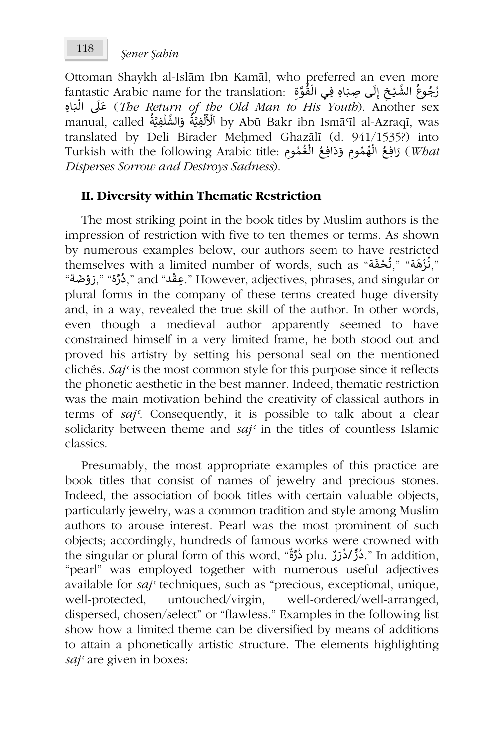Ottoman Shaykh al-Islām Ibn Kamāl, who preferred an even more Ouoman snayKh al-Islam fon Kamal, who pictericd an even more<br>**زُجُوعُ الشَّيْخِ إِلَى صِبَاهِ فِي الْقُوَّةِ** ∫ ِّ ٍٍٍٍٍٍٍٍٍٍٍٍٍٍٍٍٍٍٍٍٍٍٍٍٍٍٍٍٍٍٍٍ ۔<br>و إ ـ <u>ا</u> )<br>የ َ ᘘ ال ᣢ َ ِاە ـ ع) *The Return of the Old Man to His Youth*). Another sex l<br>የ ነ<br>በ manual, called <sup>᠐</sup> ة َّ ِفᘭ ل َّ الش و ة َّ ِفᘭ ل َ ْ ا ُ .<br>أ َُ ᠔ لأ by Abū Bakr ibn Ismāʿīl al-Azraqī, was translated by Deli Birader Meḥmed Ghazālī (d. 941/1535?) into rurkish with the following Arabic title: أَيُّمُومِ وَدَافِعُ الْغُمُومِ وَدَافِعُ الْغُمُومِ وَدَافِعُ الْغُمُو ُ۔<br>م  $\frac{2}{1}$ ُُ،<br>پ ᠔ *Disperses Sorrow and Destroys Sadness*).

## **II. Diversity within Thematic Restriction**

The most striking point in the book titles by Muslim authors is the impression of restriction with five to ten themes or terms. As shown by numerous examples below, our authors seem to have restricted by numerous examples below, our authors seem to have restricted,"<br>",نُزْهَة" (بُحْفَةٌ," مُحْقَّةٌ, " ا<br>و ْ ۔<br>و مَسِيقْد " قَدْ التَّابِين " Gall as " بِعَقْد " However, adjectives, phrases, and singular or ",دُرَّة مَدَّ ֖֚֚֚֝֝֝֝֝<u>֚</u> ຸ ֦֧֧֚֬<u>֓</u> plural forms in the company of these terms created huge diversity and, in a way, revealed the true skill of the author. In other words, even though a medieval author apparently seemed to have constrained himself in a very limited frame, he both stood out and proved his artistry by setting his personal seal on the mentioned clichés. *Sajʿ* is the most common style for this purpose since it reflects the phonetic aesthetic in the best manner. Indeed, thematic restriction was the main motivation behind the creativity of classical authors in terms of *sajʿ*. Consequently, it is possible to talk about a clear solidarity between theme and *sajʿ* in the titles of countless Islamic classics.

Presumably, the most appropriate examples of this practice are book titles that consist of names of jewelry and precious stones. Indeed, the association of book titles with certain valuable objects, particularly jewelry, was a common tradition and style among Muslim authors to arouse interest. Pearl was the most prominent of such objects; accordingly, hundreds of famous works were crowned with colously, nandreds of famous works were elowned with دُرَّةٌ .<br>plu دُرٌدُ دُدُرٌ plu دُرَّةٌ ." In addition, "دُرٌدُ دُدَرٌ ." In addition ໍ ٌؙّ<sup>ؚ</sup> .<br>° "pearl" was employed together with numerous useful adjectives available for *sajʿ* techniques, such as "precious, exceptional, unique, well-protected, untouched/virgin, well-ordered/well-arranged, dispersed, chosen/select" or "flawless." Examples in the following list show how a limited theme can be diversified by means of additions to attain a phonetically artistic structure. The elements highlighting *sajʿ* are given in boxes: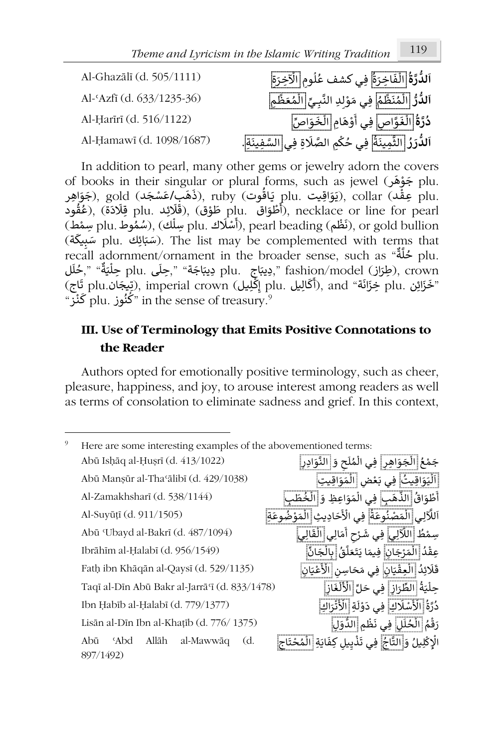Al-Ghazālī (d. 505/1111) **ُ** ال**دُّرَةُ <mark>الْفَاخِرَة</mark>ُ فِي كشف عُلُومِ <mark>الْآخِرَة</mark>ِ</u> ᠐**ُ ᠔ ہ<br>آ ٍ<br>م  $\frac{1}{\tau}$ Al-ʿAzfī (d. 633/1235-36) **ُّ ر ُّ لد ا** ا م ᡐ ظ َ ن م ِف ل ِ ᘘ َّ ِد الن ِ ل و َ ي م ــ ي ا ِم ل ᡐ ظ َ ع م **᠐**۔<br>م .<br>م ።<br>የ ـ ؚ<br>ۣ ِّ:<br>የ ٍ<br>م Al-Ḥarīrī (d. 516/1122) **ُ ة َّ ر** اص **د** ا ᠒ **ُ** ِ<br><u>لْغَوَّاص</u> فِي أَوْهَامِ ።<br>የ ـ َ֦֧֦֧֦֧ ᠐ َ ِّ اص ي أ ا و َ خ ل ።<br>የ Al-Ḥamawī (d. 1098/1687) **ُ ر َ ر ُّ لد ا** ا ة َ ِمين َّ ِف لث ِة ِف ـ َ ᢾ ِم الصَّ ᜓ ِفي ي ح ـي ال َّ س ِة َ ن . **᠐**ُ ᠔ ُ

In addition to pearl, many other gems or jewelry adorn the covers of books in their singular or plural forms, such as jewel (جَوْهَر plu. ֦֧֦֧֦֧֦֧֦֧֦֧֧֜֓ .plu جَوْسَ plu as jewer بَوْقَالِ plu<br>collar (يَوَاقِيت plu يَاقُوت), gold (ذَهَب/عَسْجَد), gold (ذَهَب), ruby (يَوَافِر ُ ـ ֦֧֦֧֦֧֝<u>֦</u> بواقِيت plu. يَاقُونَ), gold (دَهَبَ بَطَسَعِيت), collar فَإِلَادَة), gold (قَبْلُوْنَ), gold (قَبْلُوْنَ), go<br>plu. أَطْوَاق plu. أَطْوَاق (plu), necklace or line for pearl قِلَادَة), (غُقُود .<br>؛ ֞**֝** ֦֧֦֧֦֧֦֧֦֧֦֧֜*֚* ゚َ راطواق .plu طوق) , روموني .plu مودي .plu بعدده) , رحمود<br>plu بِسَلْك), pearl beading (أَشْلَاكَ .plu بِشَلْك) , (شُمُوط plu بِسَمْط) ់<br>: ़<br>१ ،<br>أ ᠔ بَرْهُدِكَ .plu سِمْعَةٍ), pean beading سِمْعًا), or gold bullion سِمْعًا), beam beading سَبِيعَةٍ).<br>الله plu may be complemented with terms that سَبِيعَةٍ). The list may be complemented with terms that recall adornment/ornament in the broader sense, such as " ٌ ة ᡐ ل .plu ح .<br>و recan adomment/omament in the broader sense, such as سمعة plu.<br>جويتاج plu. بويتاجة » "plu جِيتَاجة» (بويتاجة» «جوتي), crown جليلة» (بطرية» «. ۔<br>' l<br>i بِسِيمِ . plu وييبب , جَسَى . plu وييبب<br>گالِيل .plu إِكْلِيل) , imperial crown (رَتِيجَان .plu قَاج ᠐ጋ<br>፪ asınon/moder (رَعِوْنَ), erowin<br>"خَزَائِن .plu خِزَانَة" ), and (أَكَالِيل ََp إمْلِين plu.كييبان, imperial clown في المسابق<br>? plu. "مَخْنُون in the sense of treasury." **֝** Ϊ

# **III. Use of Terminology that Emits Positive Connotations to the Reader**

Authors opted for emotionally positive terminology, such as cheer, pleasure, happiness, and joy, to arouse interest among readers as well as terms of consolation to eliminate sadness and grief. In this context,

| 9 | Here are some interesting examples of the abovementioned terms: |                                                                  |
|---|-----------------------------------------------------------------|------------------------------------------------------------------|
|   | Abū Ishāq al-Ḥuṣrī (d. 413/1022)                                | جَمْعُ الْجَوَاهِرِ   فِي الْمُلَحِ وَ  النَّوَادِرِ             |
|   | Abū Mansūr al-Tha alibī (d. 429/1038)                           | اَلْيَوَاقِيتُ  فِي بَعْضِ  الْمَوَاقِيتِ                        |
|   | Al-Zamakhsharī (d. 538/1144)                                    | أَطْوَاقُ [الذَّهَبِ] فِي الْمَوَاعِظِ وَ الْخُطَبِ              |
|   | Al-Suyūțī (d. 911/1505)                                         | ٱللَّالِي الْمَصْنُوعَةُ فِي الْأَحَادِيثِ الْمَوْضُوعَةِ ۖ      |
|   | Abū 'Ubayd al-Bakrī (d. 487/1094)                               | سِمْطُ اللَّآلِي فِي شَرْحِ أَمَالِي الْقَالِي                   |
|   | Ibrāhīm al-Ḥalabī (d. 956/1549)                                 | عِقْدُ الْمَرْجَانِ فِيمَا يَتَعَلَّقُ بِالْجَانِّ               |
|   | Fath ibn Khāqān al-Qaysī (d. 529/1135)                          | قَلَائِدُ الْعِقْيَانِ فِي مَحَاسِنِ الْأَعْيَانِ                |
|   | Taqī al-Dīn Abū Bakr al-Jarrā i (d. 833/1478)                   | حِلْيَةُ الطِّرَازِ ۖ فِي حَلِّ الْأَلْغَازِ                     |
|   | Ibn Habīb al-Halabī (d. 779/1377)                               | دُرَّةُ [الْأَسْلَاكِ فِي دَوْلَةِ [الْأَتْرَاكِ                 |
|   | Lisān al-Dīn Ibn al-Khaṭīb $(d. 776/1375)$                      | رَقْمُ الْخُلَلِ فِي نَظْمِ الدُّوَلِ                            |
|   | Abū<br>Allāh al-Mawwāq<br>Abd <sup>3</sup><br>(d.<br>897/1492)  | الْإِكْلِيلُ وَأَالتَّاجُ ۖ فِي تَذْيِيلِ كِفَايَةِ الْمُحْتَاجِ |
|   |                                                                 |                                                                  |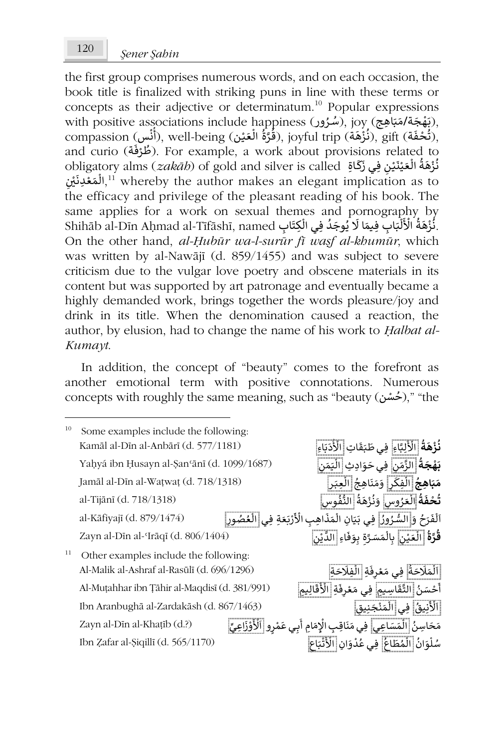the first group comprises numerous words, and on each occasion, the book title is finalized with striking puns in line with these terms or concepts as their adjective or determinatum.<sup>10</sup> Popular expressions with positive associations include happiness (شُرُور), joy (شُرُور), with positive associations include happiness ٍ<br>پ ֧֦֧֦֧֦֧֦֝֟֝*֛* win positive associations include nappiness ( مُتَوَةٌ الْعَيْنِ ), joy (دُستون), win positive associations include nappiness ( أَنْس), sift ( أَنْس), well-being ( أَنْس) ْ از<br>ع ׀֧֧֪֪֪֪֝֝֓֕ ْ l<br>የ י<br>: ُ ُ example, a work about provisions related to (روكت ), For example, a work about provisions related to (أملاؤكة).<br>And curio (مُلاؤكة). For example, a work about provisions related to ْ ์<br>• and cuno (عرف). For example, a work about provisions felated to<br>**نُزْهَةُ الْعَيْنَيْنِ فِي زَكَاةِ diver** is called (*zakāb*) of gold and silver is called ْ ر<br>و ْ ْ ᠔ مارهة العليليوي وسي السابع السين المسلسل المسلسل المسلسل المسلسل المسلسل المسلسل المسلسل المسلسل المسلسل المسل<br>المقعدة المسلسل المسلسل المسلسل المسلسل المسلسل المسلسل المسلسل المسلسل المسلسل المسلسل المسلسل المسلسل المسلس ᡧ ֦֧֦֧֦֧<u>֦</u> レ<br>ስ the efficacy and privilege of the pleasant reading of his book. The same applies for a work on sexual themes and pornography by same appnes for a work on sexuar alemes and pomography by<br>ذُرْهَةُ الْأَلْبَابِ فِيمَا لَا يُوجَدُ فِي الْكِتَابِ Ishihāb al-Dīn Aḥmad al-Tīfāshī, named ፡<br>የ ُْ ر<br>وف ا<br>و ُ .<br>، بِرِّ السِّمِيمِينِ السَّاسِرِ فِيمَا لَا يُوجَدُ فِي الْكِتَر<br>. نُزْهَةُ الْأَلْبَابِ فِيمَا لَا يُوجَدُ فِي الْكِتَ ا<br>ا On the other hand, *al-Ḥubūr wa-l-surūr fī waṣf al-khumūr*, which was written by al-Nawājī (d. 859/1455) and was subject to severe criticism due to the vulgar love poetry and obscene materials in its content but was supported by art patronage and eventually became a highly demanded work, brings together the words pleasure/joy and drink in its title. When the denomination caused a reaction, the author, by elusion, had to change the name of his work to *Ḥalbat al-Kumayt*.

In addition, the concept of "beauty" comes to the forefront as another emotional term with positive connotations. Numerous concepts with roughly the same meaning, such as "beauty (خشن)," "the ٍّ ٍ

| 10 | Some examples include the following:          |                                                                                 |
|----|-----------------------------------------------|---------------------------------------------------------------------------------|
|    | Kamāl al-Dīn al-Anbārī (d. 577/1181)          | <b>نُزْهَةُ</b> الْأَلِبَّاءِ ۖ فِي طَبَقَاتِ الْأَدَبَاءِ ۖ                    |
|    | Yaḥyá ibn Ḥusayn al-Şan'ānī (d. 1099/1687)    | <b>بَهْجَةُ</b> الزَّمَنِ فِى حَوَادِثِ الْيَمَنِ                               |
|    | Jamāl al-Dīn al-Watwat (d. 718/1318)          | <b>مَبَاهِجُ</b> الْفِكَرِ ۖ وَمَنَاهِجُ الْعِبَرِ                              |
|    | al-Tijānī (d. 718/1318)                       | تُحْفَةُ الْعَرُوسِ وَنُزْهَةُ النُّفُوسِ                                       |
|    | al-Kāfiyajī (d. 879/1474)                     | ٱلْفَرَحُ وَ السُّرُورُ  فِي بَيَانِ الْمَذَاهِبِ الْأَرْبَعَةِ فِي الْعُصُورِ  |
|    | Zayn al-Dīn al-Irāqī (d. 806/1404)            | قُرَّةُ الْعَيْنِ بِالْمَسَرَّةِ بِوَفَاءِ الدَّيْنِ                            |
| 11 | Other examples include the following:         |                                                                                 |
|    | Al-Malik al-Ashraf al-Rasūlī (d. 696/1296)    | اَلْمَلَاحَةُ  فِي مَعْرِفَةِ  الْفِلَاحَةِ                                     |
|    | Al-Muṭahhar ibn Țāhir al-Maqdisī (d. 381/991) | أَحْسَنُ  التَّقَاسِيمِ  فِي مَعْرِفَةِ  الْأَقَالِيمِ                          |
|    | Ibn Aranbughā al-Zardakāsh (d. 867/1463)      | اَلْأَنِيقُ  فِي الْمَنْجَنِيق                                                  |
|    | Zayn al-Dīn al-Khaṭīb (d.?)                   | مَحَاسِنُ  الْمَسَاعِي  فِي مَنَاقِب الْإِمَامِ أَبِي عَمْرِو  اَلْأَوْزَاعِيِّ |
|    | Ibn Zafar al-Şiqillī (d. 565/1170)            | سُلْوَانُ الْمُطَاعُ ۖ فِي عُدْوَانِ الْأَتْبَاعِ                               |
|    |                                               |                                                                                 |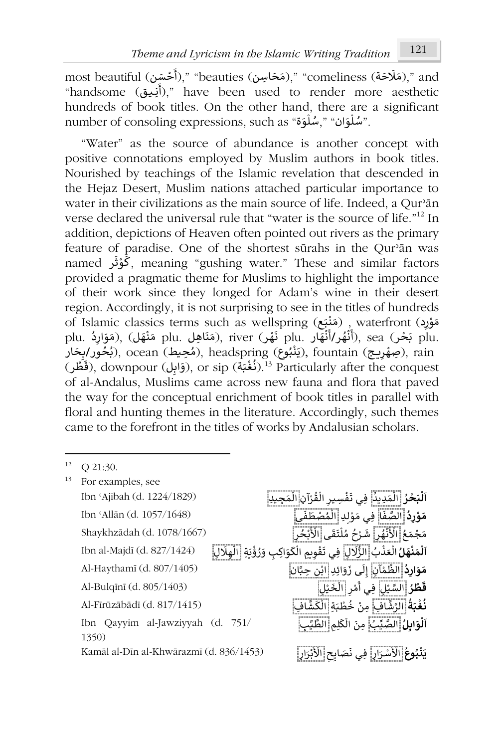most beautiful ( ፡<br>የ (مَلَاحَة)," "comeliness (مَخَاسِن)," "beauties (مَخَاسِن)," and ֦֧<u>֝</u> "handsome (أنِيق)," have been used to render more aesthetic hundreds of book titles. On the other hand, there are a significant number of consoling expressions, such as "أَسُلُوْوَة". "سُلُوْوَة" l<br>ຳ ֝<u>֡</u> ᠔

"Water" as the source of abundance is another concept with positive connotations employed by Muslim authors in book titles. Nourished by teachings of the Islamic revelation that descended in the Hejaz Desert, Muslim nations attached particular importance to water in their civilizations as the main source of life. Indeed, a Qur'ān verse declared the universal rule that "water is the source of life."<sup>12</sup> In addition, depictions of Heaven often pointed out rivers as the primary feature of paradise. One of the shortest sūrahs in the Qurʾān was ر named َ ث و ᠐ ك, meaning "gushing water." These and similar factors ֦֧֦֧ provided a pragmatic theme for Muslims to highlight the importance of their work since they longed for Adam's wine in their desert region. Accordingly, it is not surprising to see in the titles of hundreds of Islamic classics terms such as wellspring (جَنَبْتِينَ) waterfront , وَهَذَبَتَ الْمَسْتَ وَالْبَقَاءَ بِهِ ْ ֦֧֦֧֦ or islame classies terms such as wellspring (مَنَاهِد , watemont (مَوَارِدُ), watemont (مَقَالَ), sea (مَوَارِ ّ', َ.<br>۽ ֦֧֚֚֚֝֝֝ **ہ ٔ** ْ phil. سپور مستقبل المستقبل , ocean (کمپنوییم), headspring (دينمبوییم), fountain (کمپورایویتار), rain ُ ُ<br>ہ ُْ ֦֧<sup>֟</sup> ربيلوس), neadspring (ربيلوس), rountain (بيلوس), neadspring (بيحورابيحار), ain<br>(وَابِل) downpour (قَابِل), or sip (مُغْبَة). <sup>13</sup> Particularly after the conquest ֧֞<u>֝</u> َ֦֧֦֧֦֧<u>֚</u> ٍٍٍٍٍٍٍٍٍٍٍٍٍٍٍٍٍٍٍٍ of al-Andalus, Muslims came across new fauna and flora that paved the way for the conceptual enrichment of book titles in parallel with floral and hunting themes in the literature. Accordingly, such themes came to the forefront in the titles of works by Andalusian scholars.

|  |  |  | O 21:30. |
|--|--|--|----------|
|--|--|--|----------|

| 13 | For examples, see                       |                                                                                    |                                                        |
|----|-----------------------------------------|------------------------------------------------------------------------------------|--------------------------------------------------------|
|    | Ibn 'Ajībah (d. 1224/1829)              | ٱلْبَحْرُ الْمَدِيدُ فِي تَفْسِيرِ الْقُرْآنِ الْمَجِيدِ                           |                                                        |
|    | Ibn 'Allān (d. 1057/1648)               |                                                                                    | مَوْرِدُ الصَّفَا فِي مَوْلدِ الْمُصْطَفَى             |
|    | Shaykhzādah (d. 1078/1667)              |                                                                                    | مَجْمَعُ [الْأَنْهُرِ] شَرْحُ مُلْتَقَى [الْأَبْحُرِ]  |
|    | Ibn al-Majdī (d. 827/1424)              | ٱلْمَنْهَلُ الْعَذْبُ الزُّلِّالِ فِي تَقْوِيمِ الْكَوَاكِبِ وَرُؤْيَةٍ الْهِلَالِ |                                                        |
|    | Al-Haythamī (d. 807/1405)               |                                                                                    | مَوَارِدُ الظَّمْآنِ إِلَى زَوَائِدِ ابْنِ حِبَّانٍ    |
|    | Al-Bulqīnī (d. 805/1403)                |                                                                                    | قَطْرُ السَّنْلِ فِي أَمْرِ الْخَيْل                   |
|    | Al-Firūzābādī (d. 817/1415)             |                                                                                    | <b>نُغْبَةُ</b> الرَّشَّافِ مِنْ خُطْبَةِ الْكَشَّافِ  |
|    | Ibn Qayyim al-Jawziyyah (d. 751/        |                                                                                    | <b>اَلْوَابِلُ</b> الصَّيِّبُ مِنَ الْكَلِمِ الطَّيِّب |
|    | 1350)                                   |                                                                                    |                                                        |
|    | Kamāl al-Dīn al-Khwārazmī (d. 836/1453) |                                                                                    | يَنْبُوعُ الْأَسْرَارِ فِي نَصَايحِ الْأَبْرَارِ       |
|    |                                         |                                                                                    |                                                        |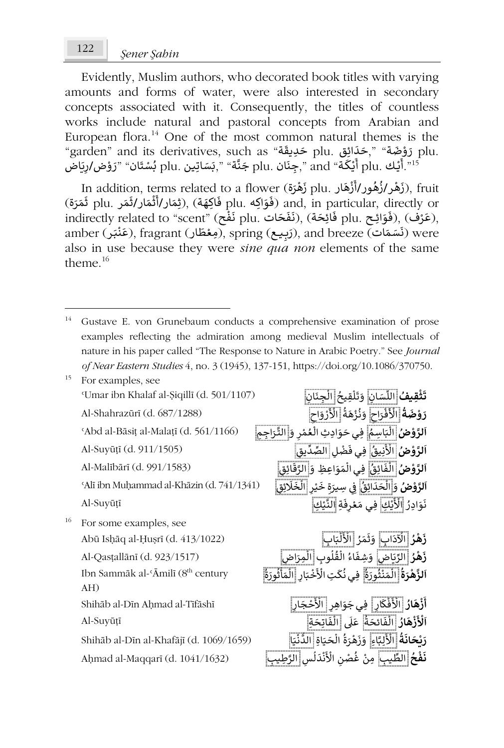Evidently, Muslim authors, who decorated book titles with varying amounts and forms of water, were also interested in secondary concepts associated with it. Consequently, the titles of countless works include natural and pastoral concepts from Arabian and European flora.<sup>14</sup> One of the most common natural themes is the e di the most common natural themes is the tempean nota. "One of the most common natural themes is the "temp",<br>city chas "أَوْضِمَة" ,حَدَائِق plu حَدِيقَة plu أَوْضِمَة الله عَدَّا لِلله عَلى الله عَدَّا لِلله عَلى الله ؚ<br>ا ់<br>្ ֪֚֚֚֚֚֚֚֚֚֚֚֚֚֚֚֚֚֚֚֚֚֚֚֚֝֝֝֝֝֝֝<del>֛</del> ايو .plu حَدِيقة plu .<br>يْكَة" plu جَنَّة "plu جَنَّة" ",بَسَاتِين .plu بُسْتَان" "رَوْض/رِيَاض ्َْ<br>१ َ۠<sup>ّ</sup> ل<br>ع ֘<u>֚</u> ـك .plu أ ᘌ ነ<br>የ  $\int_1^n$ 

 $\operatorname{Ind}$  addition, terms related to a flower (زَهْرَة plu. زَهْرَازُهُور ֦֧֦֧֦ ْ و<br>و ُ ْ ᠐ n addition, terms related to a flower (نَهْرَهُ ور/أَزْهَار .plu أَهْرَةُ), fruit<br>أَمَّارُ الْمَقَارَ الْمَقَارَ الْمَقَارَ الْمَقَارَ الْمَقَارَ الْمَقَارَ الْمَقَارَ الْمَقَارَ الْمَقَارَ ا m addiasm, terms related to a nower (فَوَاكِه plu. جَرَّ مَامَدَ m addiasm, terms related to a nower (فَوَاكِه .<br>، ֦֧֦֧<u>֦</u> مَاتِ plu. حَوَّائِكُمْ and, in particular, difectly of نَفْعَ), (يَفْدَرُانَّفَدَرُانَّذِينَ), plu. مَرْنَ),<br>(فَوَائِكُمْ plu فَائِحَة), (نَفَّحَات plu فَأَرْضَة), (فَاتِحَة), (فَاتِحَة), (فَاتِحَة), (فَاتِحَة), ( ֦֧֦֧<u>֚</u> ٔ, ֧֖֖֖֖֖֖֖֖֖֚֚֚֚֚֚֚֚֚֚֚֝֟֓<u>֓</u> **ٔ** mancedy related to seem (رها لعن), (سواب phd. صحيح), (سواب phd.<br>amber (مَعْظَار), fragrant (ربيع), spring (ربيع), and breeze (مَعْظَار) were ْ َْ َalso in use because they were *sine qua non* elements of the same theme $16$ 

**᠐ا**

**᠐ا**

**᠐ا**

**ا**

**• ا**

**᠐ أ**

**ا**

<sup>15</sup> For examples, see <sup>*s*</sup>Umar ibn Khalaf al-Siqillī (d. 501/1107)<sup></sup> **ْ ث َ** ان **ت** ِ سَ ᡒ الل ِقيح ل َ ت َ و َ ِجن ان ال ِ ُ᠔ ።<br>የ Al-Shahrazūrī (d. 687/1288) **ُ ة َ ض و َ ر** ᠒ رَ اح ف َ ْ الأ ة َ ه ز ن َ و ᠒ اح و ر َ ْ الأ **ْ** ا<br>ا ُْ ُ ֺ֖֖֖֖֧֚֚֚֚֚֚֚֚֚֝<u>֚</u> ْ <sup>ʿ</sup>Abd al-Bāsi<sup>ṭ</sup> al-Malaṭī (d. 561/1166) **ضُ ْ و َّ لر** ِاسم َ ᘘ ِف ِاد ِث ال ـي َ و َ ح َ ᠒ و ر م ع ال ِجِم ـرَ الت <sup>ا</sup> ُ ።<br>የ ់<br>វ ُ ፣<br>የ ֧<u>֓</u> Al-Suyūṭī (d. 911/1505) **ضُ ْ و َّ لر** ِيق ن َ ْ ِ ِف الأ ـي ل ض ْ َ ف ِ يق ِّ د الصِّ ُ **لرَّوْضُ <mark>الْفَائِقُ</mark> فِي الْمَوَاعِظِ وَالرَّقَائِقِ لَهُمْ الرَّوْمَانِيَّةِ Al-Malībārī (d. 991/1583)** ُ َ᠔ ᠔ ََّ **لرَّوْضُ وَ<mark>َالْحَدَائِقُ</mark> فِي سِيرَةِ خَيْرِ الْخَلَا<u>ئِقِ</u> | (1341/1341) Alī ibn Muḥammad al-Khāzin (d. 741/1341?<br><b>لرَّوْضُ وَالْحَدَائِقُ** | فِي سِيرَةِ خَيْرِ الْخَلَائِقِ | ُ ֺ֖֖֖֖֖֖֖֖֖֖֧֚֚֚֚֚֚֚֚֚֚֚֚֚֚֚֚֚֚<u>֟</u> ።<br>የ ֦֧<u>֓</u> ᡧ ።<br>የ Al-Suyūṭī ٍ<br>پ َرَّتَ لَّا الْأَيْكِ فِي مَعْرِفَةِ النَّيْكِ<br>نَوَادِرُ الْأَيْكِ فِي مَعْرِفَةِ النَّيْكِ :<br>م ់<br>៖ ّْ <sup>16</sup> For some examples, see Abū Isḥāq al-Ḥuṣrī (d. 413/1022) **ُ زَهْرُ** الْآِذَابِ **ْ** الِّدَابِ وَثَمَرُ الْأَلْبَابِ ْ ።<br>የ Al-Qasṭallānī (d. 923/1517) **ُ ر ه َ** اض **ز** ᠒ َ ᗫ ِّ ِوب الᖁ ل ق ال اء ِشف َ اض و ᠒ ِمرَ ال **ْ** ፡<br>የ ُ ፡<br>የ َُ።<br>የ Ibn Sammāk al-'Āmilī (8<sup>th</sup> century AH) **ُ** د كانستان من كان التَّخْبَارِ الْمَأْثُورَةُ فِي نُكَتِ الْأَخْبَارِ الْمَأْثُورَةُ ۖ<br>**لزَّهْرَةُ** الْمَنْثُورَةُ فِي نُكَتِ الْأَخْبَارِ الْمَأْثُورَةُ **ْ** ُ ∶<br>Ŝ ْ ᠔ ُ ْ ፡<br>የ َُ ᠔ ُ Shihāb al-Dīn Aḥmad al-Tīfāshī **ُ َ ار ه ز ْ** ِ.<br>الْأَفْكَارِ | فِي جَوَاهِرِ | الْأَحْجَارِ| ْ ֦֧֦֧֦֧֦֧֦֧֦֧֦֧֦֧֦֓֓֓֓֓֓֓֓**֦** Al-Suyūṭī **ُ َ**الأَزْهَارُ الْفَائحَةُ عَلَى الْفَاتِحَةِ<br>الأَزْهَارُ الْفَائحَةُ عَلَى الْفَاتِحَةِ **ْ** ُ َ።<br>የ .<br>۱ َ፡<br>የ Shihāb al-Dīn al-Khafājī (d. 1069/1659) **ُ ة َ ان ح ᗫ َ ر** ِاء َّ ᘘ ِ ل َ ْ الأ ال ة رَ ه َ ز َ و ِاة َ ᘭ َ ح ا َ ᘭ ن ُّ لد ا **َْ** ا<br>ا ُ֦֧֦֧֦֧֦֧֦֧֦֧֦֧֦֧֦֧֦֧֦֧֦֧֜֜**֦** ْ Aḥmad al-Maqqarī (d. 1041/1632) **ُ ح ف َ** ᘭب **ن** ِ **ْ** ِّ ᠒س الط ل َ د ن َ ْ الأ ᠒ ن ص ْ غ ِمن ᘭب الرَّ ِط ِ!<br>የ ْ ُ **ٔ** 

<sup>14</sup> Gustave E. von Grunebaum conducts a comprehensive examination of prose examples reflecting the admiration among medieval Muslim intellectuals of nature in his paper called "The Response to Nature in Arabic Poetry." See *Journal of Near Eastern Studies* 4, no. 3 (1945), 137-151, https://doi.org/10.1086/370750.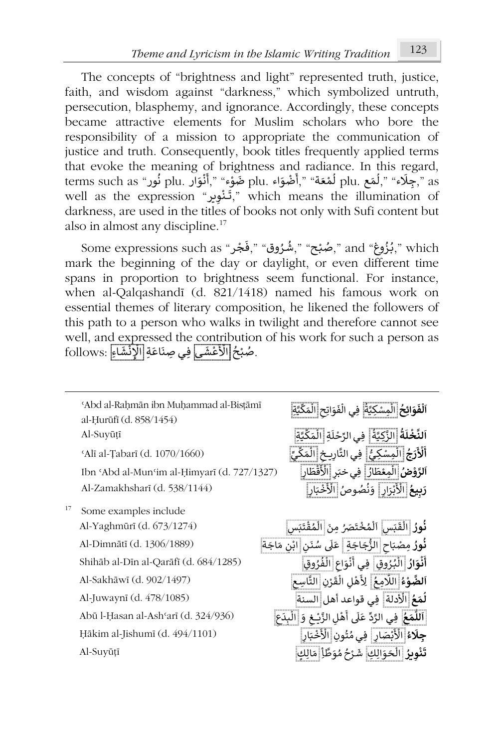The concepts of "brightness and light" represented truth, justice, faith, and wisdom against "darkness," which symbolized untruth, persecution, blasphemy, and ignorance. Accordingly, these concepts became attractive elements for Muslim scholars who bore the responsibility of a mission to appropriate the communication of justice and truth. Consequently, book titles frequently applied terms that evoke the meaning of brightness and radiance. In this regard, mat evoke the meaning or brightness and fadiance. in tins regard,<br>terms such as "بوَلَاء ",أَهْمَ plu. أَرْضَوْاء plu ضَوْء ",أَنْوَار plu فُور " و ُ ֺ<u>֓</u> ់<br>៖ ֚֡<u>֚</u> َؚ<br>م լ<br>, しょ ru: تَسْوَارْ , السَّوَارْ , السَّوَارْ , السَّوَارْ , السَّوَارْ , السَّوَارْ , as<br>well as the expression "تَشْوِير" which means the illumination of ْ darkness, are used in the titles of books not only with Sufi content but also in almost any discipline.<sup>17</sup>

جُزُوغ" and ",ضُبْح" ",هُـرُوق" "Some expressions such as ",هُـرُوق" " ٍُ<br>د ֦֧<u>֝</u> ُ ُُ mark the beginning of the day or daylight, or even different time spans in proportion to brightness seem functional. For instance, when al-Qalqashandī (d. 821/1418) named his famous work on essential themes of literary composition, he likened the followers of this path to a person who walks in twilight and therefore cannot see well, and expressed the contribution of his work for such a person as wen, an<u>d expressed the contri</u>bution<br>.صُبْحُ <mark>الْأَعْشَى</mark> فِي صِنَاعَةِ الْإِنْشَاءِ : follows ֦֧֘֝֟<u>֓</u> י<br>ו َ֦֧֧֓֝֝֝֓<u>֓</u> ُ ٝ<br>ؙ

|    | 'Abd al-Rahmān ibn Muhammad al-Bistāmī<br>al-Hurūfi (d. 858/1454) | ٱ <b>لْفَوَائِحُ</b> الْمِسْكِيَّةُ ۖ فِي الْفَوَاتِحِ الْمَكِّيَّةِ ۖ |
|----|-------------------------------------------------------------------|------------------------------------------------------------------------|
|    | Al-Suyūțī                                                         | اَلنَّخْلَةُ الزَّكِيَّةُ ۖ فِي الرِّحْلَةِ الْمَكِّيَّةِ              |
|    | 'Alī al-Țabarī (d. 1070/1660)                                     | أَلْأَرَجُ الْمِسْكِيُّ ۖ فِي التَّارِيخِ الْمَكِّيِّ                  |
|    | Ibn 'Abd al-Mun'im al-Ḥimyarī (d. 727/1327)                       | <b>ٱلرَّوْضُ</b> الْمِعْطَارُ ۖ فِي خبَرِ الْأَقْطَارِ                 |
|    | Al-Zamakhsharī (d. 538/1144)                                      | رَبِيعُ الْأَبْرَارِ ۖ وَنُصُوصُ الْأَخْبَارِ                          |
| 17 | Some examples include                                             |                                                                        |
|    | Al-Yaghmūrī (d. 673/1274)                                         | فُورُ الْقَبَسِ اَلْمُخْتَصَرُ مِنَ الْمُقْتَبَسِ                      |
|    | Al-Dimnātī (d. 1306/1889)                                         | <b>نُورُ</b> مِصْبَاحِ الزُّجَاجَةِ   عَلَى سُنَنِ  ابْنِ مَاجَة       |
|    | Shihāb al-Dīn al-Qarāfī (d. 684/1285)                             | أَنْوَارُ الْبُرُوقِ فِي أَنْوَاعِ الْفُرُوقِ                          |
|    | Al-Sakhāwī (d. 902/1497)                                          | ٱ <b>لضَّوْءُ اللَّا</b> مِعُ ۖ لِأَهْلِ الْقَرْنِ التَّاسِعِ          |
|    | Al-Juwaynī (d. 478/1085)                                          | لُمَعُ  الْأَدلة  فِي قواعد أهل  السنة                                 |
|    | Abū l-Ḥasan al-Ashʿarī (d. 324/936)                               | اَللَّمَعُ  فِي الرَّدِّ عَلَى أَهْلِ الزَّيْـغِ وَ  الْبِدَعِ         |
|    | Hākim al-Jishumī (d. 494/1101)                                    | جِلَاءُ الْأَبْصَارِ ٰ فِي مُتُونِ الْأَخْبَارِ                        |
|    | Al-Suyūțī                                                         | <b>تَنْويرُ</b>  الْحَوَالِكِ ۖ شَرْحُ مُوَطَّأٍ مَالِكٍ ۖ             |
|    |                                                                   |                                                                        |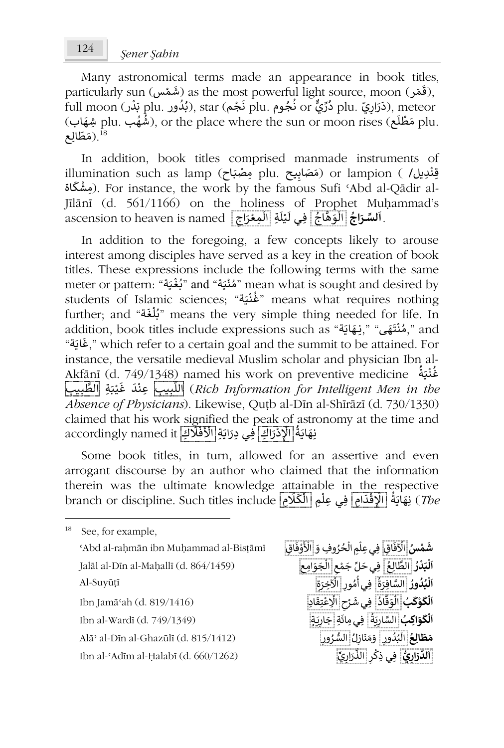Many astronomical terms made an appearance in book titles, many asuonomical terms made an appearance in book dides<br>((قَمَل), as the most powerful light source, moon (رقَمَل), as the most poweridi light source, moon (رنسی), as the most poweridi light source, moon<br>plu. ذَرَارِيّ plu دُرَّارِيّ), star (مُجُمَّ) plu ذُجُوم (plu أَبَدُور), star (مَزَارِيَّ), meteor ֦֧֦֧֦֧֦֧֦֧֦֧֦֝֟ ر<br>° ٍ<br>• ا<br>و `<br>و ََrun moon (دري or تجوم), star تجمها) بندا بندور .plu بندن .plu ميلها .<br>.plu مَطْلَع plu مَطْلَع ,or the place where the sun or moon rises (هُهُب ٍ<br>ٌ ُ ْ متحالِع".<br><sup>18</sup> (مَطَالِع" ֚֚<u>֓</u>

In addition, book titles comprised manmade instruments of illumination such as lamp (مَصَابِيع plu . وَهَنابِيع ) or lampion ( (مَصَابِيع ) )<br>قِنْدِيل/ ) or lampion ( هَصَابِيع ) ) ) ( وَصَابِيع ) ) ) ) ( ( مَصَابِيع ) وَاللہ اللہ اللہ اللہ اللہ اللہ ا ٝ<br>ٔ مِشْكَاة). For instance, the work by the famous Sufi 'Abd al-Qādir al-֦֧֧֦֧֧֧֦֧֦֧֦֧֦֧֓֓֝֓֝֓֝֓֝֓֓֝֓<del>֓</del> Jīlānī (d. 561/1166) on the holiness of Prophet Muḥammad's ascension to heaven is named <u>أَوْسَى المُسْتَنْقَةِ الْمَعْرَاجِي</u>َّ آَيْسَةَ الْمَسْتَنْقَةَ مَسْتَنْقَةً مَسْتَن ֖֖֚֚֚֚֚֚֚֝֝<u>֚</u> ់<br>៖ ፡<br>የ ֦֧֦֧֦֧ ِّ َّ)<br>የ **ُ َ.** 

In addition to the foregoing, a few concepts likely to arouse interest among disciples have served as a key in the creation of book titles. These expressions include the following terms with the same meter or pattern: "بُغْيَة" and "مُنْدَية" mean what is sought and desired by ֦֧֦֦֧֦֧֦֧֦֧֦֧֦֧֧֦֧֦֧֦֧֦֝֝֓*֬* े<br>१ ֦֧֦֧֦֧֦֧֦֧֦*֬* ُ students of Islamic sciences; "ة َ ᘭ ن غ "means what requires nothing ْ ُ further; and "ة َ غ ل ᗷ" means the very simple thing needed for life. In l<br>ຳ ا<br>و addition, book titles include expressions such as "بِنْقَاقَةٌ " and " , " and ֖֚֚֚֚֚֝֝֝֝֝֝֝֝֝֝֝֝<del>֖</del> ْ ة" َ اᘌ غ, "which refer to a certain goal and the summit to be attained. For ֖֖֖֖֖֖֪֪֪֪֦֪֪֦֪֖֛֪֪֪֪֦֖֪֪֪֪֪֪֪֪֪֪֪֪֪֪֪֪֪֪֪֪֪֪֪֪֪֦֚֚֚֚֚֚֚֚֚֚֚֚֚֚֚֚֚֚֚֚֚֝֬֟֝֟֓֟֝֬֝֓֟֟֓֟֓֝֬֝֓֓֝ instance, the versatile medieval Muslim scholar and physician Ibn al-Akfānī (d. 749/1348) named his work on preventive medicine ُ ة َ ᘭ ن غ ំ ُ ᘭب ِ ِ ب َّ ِة الط َ ᘘ ي َ غ َ د ᘭب ِعن ِ ِ ب ᡐ الل) *Rich Information for Intelligent Men in the* ْ ا<br>: *Absence of Physicians*). Likewise, Quṭb al-Dīn al-Shīrāzī (d. 730/1330) claimed that his work signified the peak of astronomy at the time and َ َ ْ مسموعة المستقلة المستقلة المستقلة المستقلة المستقلة المستقلة المستقلة<br>فِيَهَايَةُ الْ<mark>إِدْرَاكِ</mark> فِي دِرَايَةِ الْأَفْلَاكِ accordingly named it <u>֡</u> َ֦֧֦֧֦֧֦֧֦֧֦֧֦֧֦֧֦֧֦֧֦֧֦֧֦֧֧֦֧֧֦֧֘֝֟֝֝֜֟֓֜֟֓<br>֧֪֧֧֧֪֧֧֪֩֩֩֩֩֓֩֩ ֧֦֧֦֧֦֧֝֟֝<u>֦</u> ،<br>پو ์<br>เ

Some book titles, in turn, allowed for an assertive and even arrogant discourse by an author who claimed that the information therein was the ultimate knowledge attainable in the respective branch or discipline. Such titles include ِ م ـᢾ ᠐ ِم ال ِي عل ِ ِفـ ام د ق ِ الإ ة َ اᘌ ِ ه *The* (ن L<br>የ )<br>Î َا<br>ئا ْ ۔<br>و َ

<sup>18</sup> See, for example, <sup>ʿ</sup>Abd al-raḥmān ibn Muḥammad al-Bisṭāmī **سُ ْ م َ** اق **ش** ِ Jalāl al-Dīn al-Maḥallī (d. 864/1459) **ُ ر د َ ᘘ ل ᠐** ِ ع ال ِف الط ـي ᠒ ع م َ ج لِّ َ ح ِام ال َ و <sup>᠒</sup> جَ ع Al-Suyūṭī Ibn Jamāʿah (d. 819/1416) **ُ <sup>ب</sup> ᠐ ᜧ و ᠐ ل ᠐** اد ق َ و ِف ال ـي ᠒ ح ـᖁ َ ش ِ اᢺ ا ِتق ع ِد الْكَوَاكِبُ السَّنَارِيَةُ أَفِي مِائَةِ إِجَارِيَةٍ ۖ أَسْسَسْسَنَةٍ ۖ فَي مِائَةِ إِجْارِيَةٍ ۖ أَسْسَسْسَس Alāʾ al-Dīn al-Ghazūlī (d. 815/1412) **ُ ِ ع ال ط َ** ᠒ **م** ور د ᘘ ال ᠒ل َاز ن َ م َ ᠒ و ـرُ ور السُّ Ibn al-ʿAdīm al-Ḥalabī (d. 660/1262) **يُّ᠒**

الْآفَاقِ فِي عِلْمِ الْحُرُوفِ وَ الْأَوْفَاقِ ْ ؚ<br>ا 。 َ֦֧֦֧֦֧֦֧֦֧֦֧ **ْ ᠔ ا** ِّ َّ֦֧<sup>֟</sup> ۔<br>أ **ُ ٱلْبُدُورُ السَّافِرَةُ ۖ فِي أُمُورِ الْآخِرَةِ ۖ ُ ُ ᠔ ا** ُ ُ ᠑ ិ៍<br>៖ **ْ ᠔ ا** ُ َّ፡<br>የ ់<br>: ់<br>ព្ َ:<br>م **᠔ ا** ُ **َ**ُ ُّ ٍ ፡<br>የ ُ**َ**ِ<br>اَلدَّرَارِيُّ فِي ذِكْرِ الذِّرَارِيِّ ᠔ ֖֦֚֚֚֚֚֚֚֚֚֝֝֝֝֓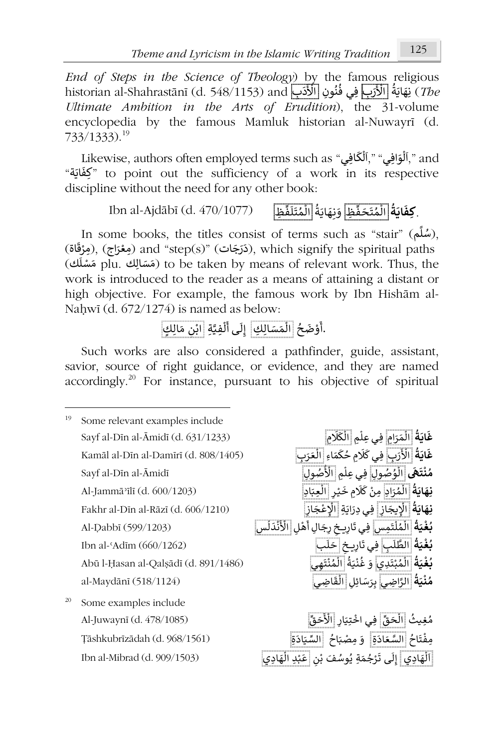*End of Steps in the Science of Theology*) by the famous religious<br>
in the latter of the state of the contract of the state of the state of the state of the state of the state of the state of the state of the state of the historian al-Shahrastānī (d. 548/1153) and بِ َ د ِون الأ ن ِب ِفـي ف َ ر الأ ة َ اᘌ ِ ه *The* (ن े<br>१ ُ ا<br>پو ֚֚֝֝֝֝֝֝֝֝֝֝֝֝֝֝<del>֟</del> *Ultimate Ambition in the Arts of Erudition*), the 31-volume encyclopedia by the famous Mamluk historian al-Nuwayrī (d. 733/1333).<sup>19</sup>

Likewise, authors often employed terms such as "آلْوَافِي" ," and ᠔ ᠔ ة" َ اᘌ كفِ "to point out the sufficiency of a work in its respective <u>์</u> discipline without the need for any other book:

.**كِفَايَةُ** اِلْمُتَحَفِّظِ وَنِهَايَةُ الْمُتَلَفِّظِ Ibn al-Ajdābī (d. 470/1077) **ُ** .<br>م ።<br>የ ُ ِّ ።<br>የ .<br>م

In some books, the titles consist of terms such as "stair" (مُلَم), َمستر المستقادة المستقادة المستقادة المستقادة (التسابع), (ويؤقاة) and "step(s)" (ويغتاج), which signify the spiritual paths <u>់</u> َ֧֞<u>֝</u> ريودي), which sighly the spintal patis<br>نومتالِك plu (هَسَالِك plu) (o be taken by means of relevant work. Thus, the work is introduced to the reader as a means of attaining a distant or high objective. For example, the famous work by Ibn Hishām al-Naḥwī (d. 672/1274) is named as below:

. ُ ح ضَ ْ و ᠐ ِ ِك أ ا سَ ال َ م ᠔ ل ᠐ ل ِة إ ـى ِ َّ ِفᘭ ᠔ ل ᠐ أ ا ᠒ ن ْ ب ٍك َ مِال

Such works are also considered a pathfinder, guide, assistant, savior, source of right guidance, or evidence, and they are named accordingly.<sup>20</sup> For instance, pursuant to his objective of spiritual

<sup>19</sup> Some relevant examples include Sayf al-Dīn al-Āmidī (d. 631/1233) **ُ** ᠔ ነ<br>የ Kamāl al-Dīn al-Damīrī (d. 808/1405) ُ ።<br>የ Sayf al-Dīn al-Āmidī ᠔ Al-Jammāʾīlī (d. 600/1203) **ُ ة َ اᘌ ن** ِاد **ِ ه** رَ م ال ِ م َ ᢾ ᠐ ِمن ᠒ ـر ᘭ َ خ ِع ِاد ال َ ᘘ ֦֧֦֧֦֧֦֧֦֧֦֧֜*֛* ْ ᠔ حَّة لَّـ الْكَلِيجَازِ | فِي دِرَايَةِ | الْإِعْجَازِ |<br>**لِلْهَايَةُ | الْإِيجَازِ | فِي دِرَايَةِ | الْإِعْجَازِ | Fakhr al-Dīn al-Rāzī (d. 606/1210)** َ֧֦֦֧֦֧֦֧֦֧֦֧֚֚֘֝֝֝֝֬*֟* **ٔ** Al-Ḍabbī (599/1203) َْ ί أ ْ الْأَنْدَلُس ፡<br>የ . • • السياسة السياسة السياسة المستقدمة المستقدمة المستقدمة المستقدمة المستقدمة المستقدمة المستقدمة Ibn al-ʿAdīm (660/1262)<br>**بُغْدَةُ الطَّلَبِ فِي تَارِيخِ إِحَلَب** Abū l-Ḥasan al-Qalṣādī (d. 891/1486) **ُ** <u>َ</u> ُ ْ ُ :<br>ء ُ ።<br>የ al-Maydānī (518/1124) ᠔ <sup>20</sup> Some examples include Al-Juwaynī (d. 478/1085) ُ ثᘭغِ م ِّ ق حَ ال ᠒ ار ِتᘭ ِفـي اخ ِّ ق َ ح َ ْ الأ َْ بَاحُ السَّعَادَةِ ۚ وَ مِصْبَاحُ ۚ السِّيَادَةِ ۚ ﴾<br>تِمْنَاحُ السَّعَادَةِ وَ مِصْبَاحُ السِّيَادَةِ ۚ ֺَُ<u>֓</u>

ِ<br>**غَايَةُ** الْمَرَامِ فِي عِلْمِ الْكَلَامِ **َ**᠔ **ُ** غ**َايَةُ الْأَرَبِ فِي كَلَامِ حُكَمَاءِ الْغَرَبِ<br>غَ<b>ايَةُ** الْأَرَبِ فِي كَلَامِ حُكَمَاءِ الْغَرَبِ **َ**مُنْتَهَى الْ<u>وُصُولِ</u> فِي عِلْمِ الأَصُولِ **ْ ُ** .<br>م ᠔ **َ**ُ ።<br>የ **َ**֦֧֦֧֦֧֦֧֦֧֦֧֦֧֦ **ُ بُغْيَةُ الْمُلْتَمِس فِي** تَارِيخِ رِجَالِ أَهْلِ **ْ ُ** ፡<br>የ .<br>م ።<br>የ َ**ْ ُ بُغْيَةُ الْمُبْتَدِي وَ غُنْيَةُ الْمُنْتَهِي ْ ُ** ٔ<br>ْ ُ ᠔ **ُ مُنْيَةُ الرَّاضِيِ** بِرَسَائِلِ الْقَاضِيِ **ْ ُ و** ٠<br>Î

َْ Ibn al-Mibrad (d. 909/1503) اديِ َ ه ل ᠐ ᠔ ا ᠒ ن ف ب وسُ َ ِة ي َ م ج رْ َ ـى ت ᠐ ل ِ ِد إ ᘘ َ ِاد ع ا َ ه ل ي֦֧<sup>֟</sup>֓ ٍ<br>پ ٍ<br>ا ٔ<br>ْ ᠔

**َ**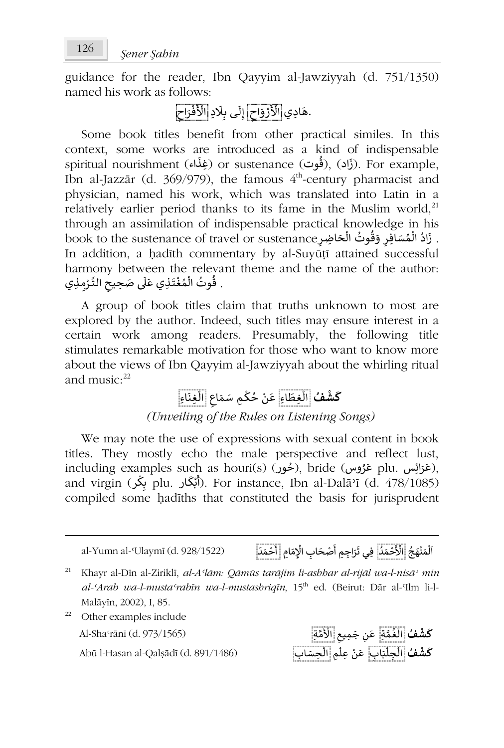guidance for the reader, Ibn Qayyim al-Jawziyyah (d. 751/1350) named his work as follows:

#### .<br>هَادِي <mark>الْأَرْوَاحِ</mark> إِلَى بِلَادِ <mark>الْأَفْرَاحِ</mark> ֦֧֦֧֦֧֝<u>֚</u> ֦֧֦֧֦֧֦֧֦֧֦֧֦֧֦֧<br>֧֪֟ ֧֧֦֧֦֧֪ׅ֧֚֚֚֚֚֚֚֚֚֚֚֚֚֚֚֚֚֚֚֚֚֚֚֚֚֚֚֚֚֚֝֝֟֓֟֓֝֬֝֓֝֟֓֝֬֝֬֝֬֓ ֦֧֧֟֓<u>֚֓</u>

Some book titles benefit from other practical similes. In this context, some works are introduced as a kind of indispensable َ spiritual nourishment (إذاب) or sustenance (فِغْذَاء). For example, ُ َIbn al-Jazzār (d. 369/979), the famous  $4<sup>th</sup>$ -century pharmacist and physician, named his work, which was translated into Latin in a relatively earlier period thanks to its fame in the Muslim world,<sup>21</sup> through an assimilation of indispensable practical knowledge in his . زَادُ الْمُسَافِرِ وَقُوتُ الْحَاضِرِ مِنْ book to the sustenance of travel or sustenance بِهَا الْمَسَافِرِ ነ<br>የ ُ<br>۽ ُ l<br>የ َُIn addition, a hadīth commentary by al-Suyūṭī attained successful harmony between the relevant theme and the name of the author: nannony Detween the Ieleva<br>. قُوتُ الْمُغْتَذِي عَلَى صَحِيحِ التِّرْمِذِي ֦֧֦֧֦֧֦֧֦֧֦*֬* ۔<br>م ነ<br>የ \<br>ئ ـ

A group of book titles claim that truths unknown to most are explored by the author. Indeed, such titles may ensure interest in a certain work among readers. Presumably, the following title stimulates remarkable motivation for those who want to know more about the views of Ibn Qayyim al-Jawziyyah about the whirling ritual and music $\cdot^{22}$ 

**كَشْفُ** [الْغِطَاءِ عَنْ حُكْمِ سَمَاعِ [الْغِنَاءِ ።<br>የ **َ** ـ ᠔ ُ ْ ᠔ **ْ** *(Unveiling of the Rules on Listening Songs)*

We may note the use of expressions with sexual content in book titles. They mostly echo the male perspective and reflect lust, including examples such as houri(s) (رخور), bride (رخور), including examples such as houri(s) (رخور), ;<br>° ٍ<br>' َmciuding Cxanipics such as hounts) برمنون), bhdc (رسول,<br>and virgin (بَلَّكَ plu. أَبْكَار ). For instance, Ibn al-Dalāʾī (d. 478/1085) ᠔ ا<br>: compiled some ḥadīths that constituted the basis for jurisprudent

al-Yumn al-ʿUlaymī (d. 928/1522) ُ ج َ ه ن َ م ل ᠐ د َ م ح َ ْ الأ ِ اب الإ ِ حَ ص ْ ᠐ ْ ᠔ ا ُ ֦֧֦֧֦֧֦֧<u>֦</u> ֦֧֦֧֦֧֦֧֦֧֦֧֦֧֦֧֧֦֧֧֧ׅ֧֦֧ׅ֧֜֜֓֜֜֜֜֜֜֓֜֜֓ فِي تَرَاجِمِ أَصْحَابِ الْإِمَامِ أَحْمَدَ ْ ᠐ أ

- <sup>21</sup> Khayr al-Dīn al-Ziriklī, *al-Aʿlām: Qāmūs tarājim li-ashhar al-rijāl wa-l-nisāʾ min al-ʿArab wa-l-mustaʿrabīn wa-l-mustashriqīn*, 15th ed. (Beirut: Dār al-ʿIlm li-l-Malāyīn, 2002), I, 85.
- <sup>22</sup> Other examples include مَّ مِّسْ الْمُعَةِ عَنِ جَمِيعِ الْأُمَّةِ **﴾ . [1] Al-Shaʿrānī (d. 973/1565)**<br>مَسْمَمُ الْمُعَةِ عَنِ جَمِيعِ الْأُمَّةِ عَنِ جَمِيعِ الْأُمَّةِ بِهِ مَا مَّا عَلَى الْمُحَمَّةِ عَنِ جَمِيع

**ْ** ُ ።<br>የ Abū l-Hasan al-Qalṣādī (d. 891/1486) **ُف ش ᠐** اب **ك** ِ َ ᘘ ِجل ِم ال ِعل ن َ اب ع ِ ِحسَ ال**ْ** ፡<br>የ ፡<br>የ ፣<br>ነ ْ ፡<br>የ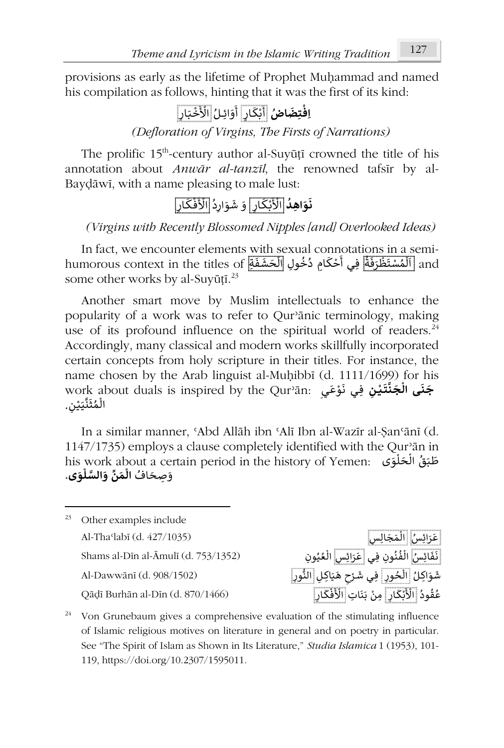provisions as early as the lifetime of Prophet Muḥammad and named his compilation as follows, hinting that it was the first of its kind:

#### **ُ اض َ ِتض ِاف ْ** أَبْكَارٍ أَوَائِ أ ֦֧֦֧֦֧֦֧<u>֦</u> َ᠐ أَوَائِـلُ الْأَخْبَ ُ ֦֧֦֧֦֧֦֧֦֧֦֧֦֧֦֧֦֧<u>֓</u> ڵٲڂ۠ڹٳڕ

*(Defloration of Virgins, The Firsts of Narrations)*

The prolific 15<sup>th</sup>-century author al-Suyūṭī crowned the title of his annotation about *Anwār al-tanzīl*, the renowned tafsīr by al-Bayḍāwī, with a name pleasing to male lust:

**ُ ِ اهد َ و َ ن** َ ْ ْ الأ ᗷـ ᠐ ᠒كـ ُ ار ᠒د َ ار و َ ش َ و ا ْ ف َ ْ لأ ـ ᠐ ᠒كـ ار

*(Virgins with Recently Blossomed Nipples [and] Overlooked Ideas)*

In fact, we encounter elements with sexual connotations in a semin ract, we encounter etements with sexual confiolations in a semi-<br>and [اَلْمُسْتَظْرَفَةٌ فِي أَحْكَامِ دُخُولِ [الْحَشَفَةِ] humorous context in the titles of ።<br>የ ء<br>۽ ا<br>و ֦֧֦֦֧֦֧֦֧֦֧֦֧֦֝ ا<br>پا ᠔ ፡<br>› ᠔ some other works by al-Suyūṭī. $^{23}$ 

Another smart move by Muslim intellectuals to enhance the popularity of a work was to refer to Qurʾānic terminology, making use of its profound influence on the spiritual world of readers. $24$ Accordingly, many classical and modern works skillfully incorporated certain concepts from holy scripture in their titles. For instance, the name chosen by the Arab linguist al-Muḥibbī (d. 1111/1699) for his work about duals is inspired by the Qurʾān: **َ ج َ نـ َ ت َّ ن َ ج ى ال ــ ـᘭ ᠒ ن** ِفـ َ ع و َ ᠒ ي ن ـ ي**᠔ ْ**ْ work a<br>الْمُثَنَّيَيْنِ. ؘ<br>۠ ُ ᠔

In a similar manner, ʿAbd Allāh ibn ʿAlī Ibn al-Wazīr al-Ṣanʿānī (d. 1147/1735) employs a clause completely identified with the Qurʾān in emproys a elattic compretely retriumed with the Ga an in<br>طَبَقُ الْحَلْوَى his work about a certain period in the history of Yemen: ا<br>أ ᠔ ُِصحَ افُ <sup>و</sup> **<sup>ى</sup>** َ **َ و ل السَّ و ِّ ن َ م ال** . **᠔ َ᠔**

<sup>23</sup> Other examples include Al-Thaʿlabī (d. 427/1035) سُ Shams al-Dīn al-Āmulī (d. 753/1352) سُ ِ اᙙ ف َ ِون ِف ن ـي ن ف ᠒س ال ِ رَ اᙙ َ ع ِون ي ع ال شَوَاكِلُ <mark>الْخُورِ |</mark> فِي شَرْحِ هَيَاكِلِ <mark>النُّورِ |</mark><br>شَوَاكِلُ الْخُورِ | فِي شَرْحِ هَيَاكِلِ النُّورِ |

عَرَائِسُ الْمَجَالِسِ ።<br>የ َُ ُ ፡<br>የ ُ ُ ፡<br>የ ፡<br>የ ْ ا بِمن المُجْبَكَ لِ أَبْنِكَ لِ أَنْزَفْكَ لِ الْأَفْكَانِ (Qāḍī Burhān al-Dīn (d. 870/1466)<br>عُقُودُ إِلَّأَذْبَكَانِ مِنْ بَنَاتِ الْأَفْكَانِ ُ ٍ<br>م ᠐**ّ**ّ **ٔ** ـ ֦֧<u>֝</u>

 $24$  Von Grunebaum gives a comprehensive evaluation of the stimulating influence of Islamic religious motives on literature in general and on poetry in particular. See "The Spirit of Islam as Shown in Its Literature," *Studia Islamica* 1 (1953), 101- 119, https://doi.org/10.2307/1595011.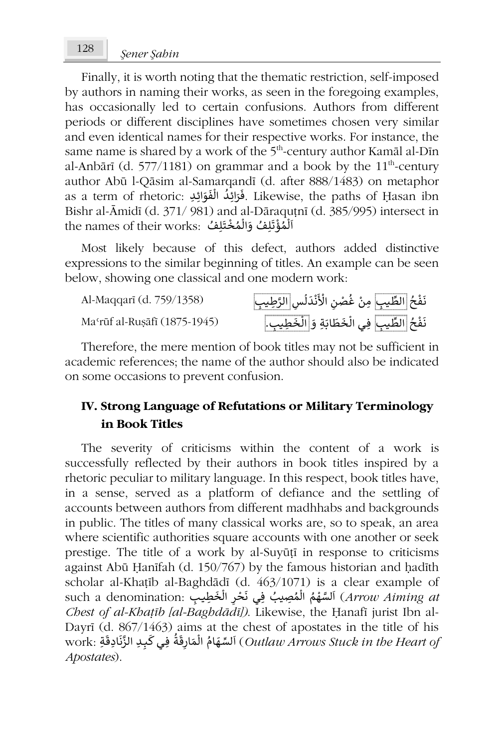Finally, it is worth noting that the thematic restriction, self-imposed by authors in naming their works, as seen in the foregoing examples, has occasionally led to certain confusions. Authors from different periods or different disciplines have sometimes chosen very similar and even identical names for their respective works. For instance, the same name is shared by a work of the 5<sup>th</sup>-century author Kamāl al-Dīn al-Anbārī (d. 577/1181) on grammar and a book by the  $11<sup>th</sup>$ -century author Abū l-Qāsim al-Samarqandī (d. after 888/1483) on metaphor َ as a term of rhetoric: ِفَرَائِكُ الْفَوَائِكِ as a term of rhetoric: فَزَائِلُه الْفَوَائِكِ as a term of rhetoric: فَزائِلُه ا ֧<u>֡</u> ᠔ ُ<br>ُ Bishr al-Āmidī (d. 371/ 981) and al-Dāraquṭnī (d. 385/995) intersect in bism ar-Amid (d. 5/1/ 761) and ar-Daraqu<br>ٱلْمُؤْتَلِفُ وَالْمُخْتَلِفُ .bism ar-Amid (d. 5/1/ 761) ំ .<br>م ւ<br>៖ .<br>۽ **ُ** ᠔ **ृ** 

Most likely because of this defect, authors added distinctive expressions to the similar beginning of titles. An example can be seen below, showing one classical and one modern work:

Al-Maqqarī (d. 759/1358)

Ma<sup>c</sup>rūf al-Rusāfī (1875-1945)

\_\_<br>يب| مِنْ غُصْنِ الْأَنْدَلُسِ<mark>|الرَّطِيب</mark> و<br>ا ْ ُ ْ .<br>نَفْحُ الطِّ ُ ْ \_\_<br>يب فِي الْخَطَابَةِ وَ <mark>الْخَطِي</mark>ـ ፡<br>የ ؚ<br>; 。<br>የ \_\_\_<br>نَفْحُ الطِّ ُ ْ

Therefore, the mere mention of book titles may not be sufficient in academic references; the name of the author should also be indicated on some occasions to prevent confusion.

# **IV. Strong Language of Refutations or Military Terminology in Book Titles**

The severity of criticisms within the content of a work is successfully reflected by their authors in book titles inspired by a rhetoric peculiar to military language. In this respect, book titles have, in a sense, served as a platform of defiance and the settling of accounts between authors from different madhhabs and backgrounds in public. The titles of many classical works are, so to speak, an area where scientific authorities square accounts with one another or seek prestige. The title of a work by al-Suyūṭī in response to criticisms against Abū Ḥanīfah (d. 150/767) by the famous historian and ḥadīth scholar al-Khaṭīb al-Baghdādī (d. 463/1071) is a clear example of scholar al-Khatib al-Baghdadi (d. 40*5/*10/1) is a clear example of<br>such a denomination: اَلسَّهْمُ الْمُصِيبُ فِي نَحْرِ الْخَطِيبِ (*Arrow Aiming a* ٝ<br>ٛ ፡<br>የ ٍ<br>أ ֦֧֦֧֦֧֦֧֦֧֦֧֦֧֦֧֦֧֦֧֦֧֦֟ ί ା<br>የ *Chest of al-Khaṭīb [al-Baghdādī])*. Likewise, the Ḥanafī jurist Ibn al-Dayrī (d. 867/1463) aims at the chest of apostates in the title of his ِف :work ة َ ق ᠒ ار م ال ام ه لسِّ ا ـ ِ ᘘ ᠐ ِة ي ك ـ ِادق َ ن َّ الز دِ) *Outlaw Arrows Stuck in the Heart of* ُ .<br>، ።<br>የ .<br>ا ֺ<u>֓</u> .<br>በ َ*Apostates*).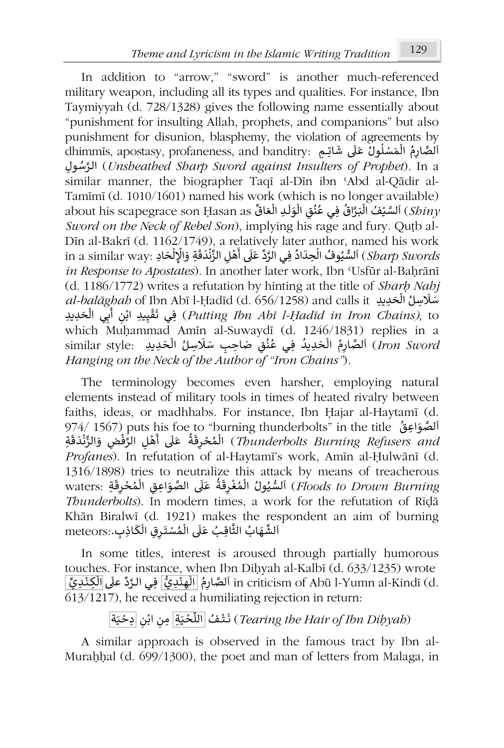In addition to "arrow," "sword" is another much-referenced military weapon, including all its types and qualities. For instance, Ibn Taymiyyah (d. 728/1328) gives the following name essentially about "punishment for insulting Allah, prophets, and companions" but also punishment for disunion, blasphemy, the violation of agreements by punsmicht for disumon, biasphelity, the violation of agreements by<br>اَلصَّارِمُ الْمَسْلُولُ عَلَى شَاتِمِ ;dhimmīs, apostasy, profaneness, and banditry: ۔<br>و ۔<br>ا ۱<br>أ .<br>وفيات ί ِول الـ سُ َّ ر) *Unsheathed Sharp Sword against Insulters of Prophet*). In a similar manner, the biographer Taqī al-Dīn ibn ʿAbd al-Qādir al-Tamīmī (d. 1010/1601) named his work (which is no longer available) rannini (d. 1010/1001) nanied nis work (which is no longer avanable)<br>*(Sbiny)* آلسَّيْفُ الْبَرَّاقُ فِي عُنُقِ الْوَلَـٰدِ الْعَاقِّ about his scapegrace son Ḥasan as l<br>የ ٠<br>آ ُ َّl<br>የ ُ ُ َነ<br>የ *Sword on the Neck of Rebel Son*), implying his rage and fury. Quṭb al-Dīn al-Bakrī (d. 1162/1749), a relatively later author, named his work ᠐ DIII al-Dakit (d. 1102/1749), a Telativery Tater adtrior, hamed his work<br>in a similar way: اَلسُّيُوفُ الْحِدَادُ فِي الرَّدِّ عَلَى أَهْلِ الزَّنْدَقَةِ وَالْإِلْحَادِ .ja similar wa े<br>१ **ا** ፡<br>የ ᠔ ֦֧֦֧֦֧֦֧֦֧֦֧֦֧֧֜ َڔ<br>• ْ أ *in Response to Apostates*). In another later work, Ibn ʿUsfūr al-Baḥrānī (d. 1186/1772) writes a refutation by hinting at the title of *Sharḥ Nahj* َ رها al-bal*āghah* of Ibn Abī l-Ḥadīd (d. 656/1258) and calls it '<br>የ ِف ِ ᗷ ᠒ ن ِᘭد اب ِ ي ق َ ِد ِᘌد حَ ي ت <sup>ـ</sup> ال ي) *Putting Ibn Abī l-Ḥadīd in Iron Chains)*, to ـ أ ໍ່ ْ  $\frac{4}{3}$ which Muḥammad Amīn al-Suwaydī (d. 1246/1831) replies in a winch Munanimad Anim ai-suwaydi (d. 1240/1851) repnes in a<br>*Iron Sword ) أَ*لصَّارِمُ الْحَدِيدُ فِي عُنُقِ صَاحِبِ سَلَاسِلُ الْحَدِيدِ . .*Iron Sword* .<br>آ ا ۔<br>و )<br>የ ا<br>پ ِّ ᠔ *Hanging on the Neck of the Author of "Iron Chains"*)*.*

The terminology becomes even harsher, employing natural elements instead of military tools in times of heated rivalry between faiths, ideas, or madhhabs. For instance, Ibn Ḥajar al-Haytamī (d. السَّرْوَاعِقُ (1567) puts his foe to "burning thunderbolts" in the title أَلْقُوَاعِقُ (1567). Ϊ ا المحواتِون Thunderbolts In the the US (O Durining thunderbolts in the the<br>*(Thunderbolts Burning Refusers and )* الْمُحْرِقَةُ عَلَى أَهْلِ الرَّفْضِ وَالزِّنْدَقَةِ ُ ُ ᠔ ֦֧<u>֝</u> ֦֧<u>֚</u> ِّ پ **ृ** *Profanes*). In refutation of al-Haytamī's work, Amīn al-Ḥulwānī (d. 1316/1898) tries to neutralize this attack by means of treacherous رo neutralize this attack by heatis of treacherous<br>waters: ٱلصُّيُولُ الْمُغْرِقَةُ عَلَى الصَّوَاعِقِ الْمُحْرِقَةِ waters: تَابَعُ بِاسْتَا بِهِ الْمُحْرِقَةِ ្ត្ l<br>የ ا<br>آ ُ ْ ِّ l<br>Î ُُ.<br>ا *Thunderbolts*). In modern times, a work for the refutation of Riḍā Khān Biralwī (d. 1921) makes the respondent an aim of burning Nnan Dnawr (d. 1721) makes the Ie.<br>أَلشِّهَابُ الثَّاقِبُ عَلَى الْمُسْتَرِقِ الْكَاذِبِ.:meteors َ.<br>آ ।<br>१ ᠔ .<br>آ ـ ነ<br>የ

In some titles, interest is aroused through partially humorous touches. For instance, when Ibn Diḥyah al-Kalbī (d. 633/1235) wrote odenes. For instance, when ibn Dityan al-Kaibi (d. 0*53/1255) w*hole<br>in criticism of Abū l-Yumn al-Kindī (d. أَلَّصَّارِمُ الْهِنْدِيُّ فِي الرَّدَّ علَى الْكِنْدِيِّ ـ ْ ᠔ ِّْ ᠔ ُ ί 613/1217), he received a humiliating rejection in return:

> ة َ ᘭ ِدح ᠒ ن اب ᠒ ِة ِمن َ ᘭ حْ ᡒ ُف الل ـت َ ن) *Tearing the Hair of Ibn Diḥyah*) ֦֧<u>֝</u> ֦֧<u>֝</u> ـ ໍ່.

A similar approach is observed in the famous tract by Ibn al-Murahhal (d. 699/1300), the poet and man of letters from Malaga, in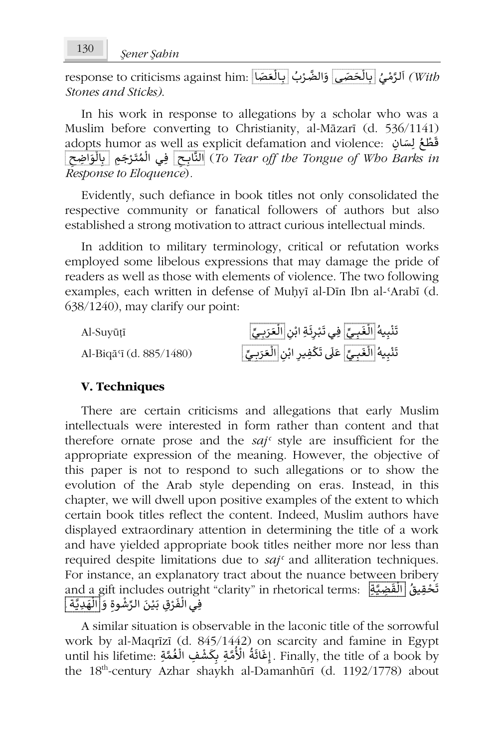response to criticisms against him: الرَّمْيُ <mark>بِالْحَصَى</mark> اِلصَّائِلُ بِالْعَصَا ة<br>ا **ٔ** َ᠔ ់<br>វ *Stones and Sticks)*.

In his work in response to allegations by a scholar who was a Muslim before converting to Christianity, al-Māzarī (d. 536/1141) adopts humor as w<u>ell as</u> explicit defamation and violence: قَطْعُ لِسَانِ adopts humor as w<u>ell as e</u>xplicit defamation and violence: قَطْعُ لِسَانِ ُ ْ ᠒ اضح ِ َ و ال ِ ِم ᗷ َ ج ـر َ ت م ِفـي ال ᠒ ــح ِ اᗷ الن) *To Tear off the Tongue of Who Barks in* ነ<br>የ ់<br>• ؚ<br>؞ ᠔ َّ*Response to Eloquence*)*.*

Evidently, such defiance in book titles not only consolidated the respective community or fanatical followers of authors but also established a strong motivation to attract curious intellectual minds.

In addition to military terminology, critical or refutation works employed some libelous expressions that may damage the pride of readers as well as those with elements of violence. The two following examples, each written in defense of Muḥyī al-Dīn Ibn al-ʿArabī (d. 638/1240), may clarify our point:

| Al-Suvūtī               | تَنْبِيهُ الْغَبِيِّ  فِي تَبْرِئَةِ ابْن الْعَرَبِيِّ  |
|-------------------------|---------------------------------------------------------|
| Al-Biqā'ī (d. 885/1480) | تَنْبِيهُ الْغَبِيِّ عَلَى تَكْفِيرِ ابْنِ الْعَرَبِيِّ |

## **V. Techniques**

There are certain criticisms and allegations that early Muslim intellectuals were interested in form rather than content and that therefore ornate prose and the *sajʿ* style are insufficient for the appropriate expression of the meaning. However, the objective of this paper is not to respond to such allegations or to show the evolution of the Arab style depending on eras. Instead, in this chapter, we will dwell upon positive examples of the extent to which certain book titles reflect the content. Indeed, Muslim authors have displayed extraordinary attention in determining the title of a work and have yielded appropriate book titles neither more nor less than required despite limitations due to *sajʿ* and alliteration techniques. For instance, an explanatory tract about the nuance between bribery ror instance, an explanatory tract about the nuance between bilbery<br>قَحْقِيقُ [الْقَضِيَّةِ] : and a gift includes outright "clarity" in rhetorical terms .<br>. ١. ا<br>و ֺ֖֖֪֪֧֧֧֪ׅ֧֪֧֪֦֧֪֪֪֪֪֪֪֪֪֪֪֪֪֪֪֪֪֪֪֪֪֪֪֪֪֪֪֪֪֪֪֪֪֪֚֚֚֚֚֚֚֚֚֚֚֚֚֚֚֚֚֝֝֓֝֓֝֓֝֬֝֬֝֓֝֬֝֓֓֝֬֝֓֝֬֓֝֬ and a gin includes Odtrigi<br>فِي الْفَرْقِ بَيْنَ الرِّشْوةِ وَ <mark>الْهَدِيَّة</mark> ِ l<br>የ ֦֧֦֧֦֧֦֧֦֧֦֧֓֓֓֓֓֓֓<u>֓</u> َ֦֧<u>֝</u> ֦֧<sup>֚</sup> ا<br>أ

A similar situation is observable in the laconic title of the sorrowful work by al-Maqrīzī (d. 845/1442) on scarcity and famine in Egypt work by al-Maqrizi (d. 845/1442) on scarcity and lamine in Egypt<br>until his lifetime: إِغَاثَةُ الْأُمَّةِ بِكَشْفِ الْغُمَّةِ . Finally, the title of a book by ُ֚֚֚֚֚֚֚֝֝֝֝֝֝֝֝֝֝<del>֛</del> ُ `<br>የ ֦֧֦֧֦֧֦֧֦֧֦֧֦֧֦֧֦֧֜*֦* the 18<sup>th</sup>-century Azhar shaykh al-Damanhūrī (d. 1192/1778) about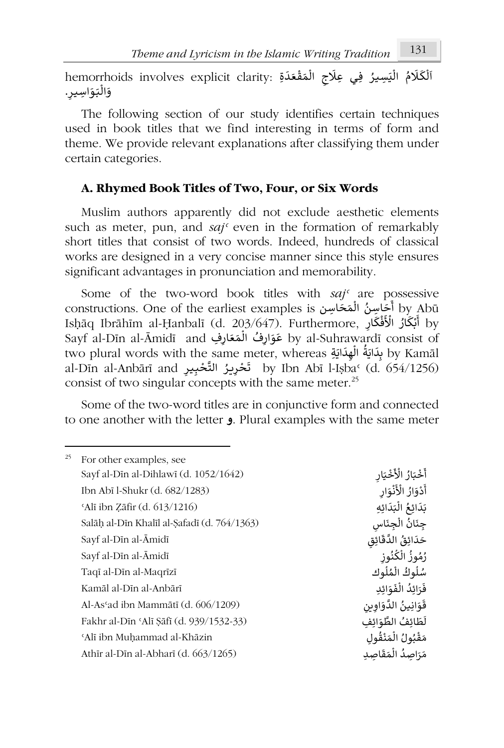hemorrhoids involves explicit clarity: أَلْكَلَامُ الْمَيْسِيرُ فِي عِلَاجِ الْمَقْعَدَةِ ᠔ ፡<br>የ ٍُ<br>د ْ ፡<br>የ ----------<br>وَالْبَوَاسِيرِ. !<br>የ َ

The following section of our study identifies certain techniques used in book titles that we find interesting in terms of form and theme. We provide relevant explanations after classifying them under certain categories.

## **A. Rhymed Book Titles of Two, Four, or Six Words**

Muslim authors apparently did not exclude aesthetic elements such as meter, pun, and *sajʿ* even in the formation of remarkably short titles that consist of two words. Indeed, hundreds of classical works are designed in a very concise manner since this style ensures significant advantages in pronunciation and memorability.

Some of the two-word book titles with *saj<sup>c</sup>* are possessive constructions. One of the earliest examples is استخاصین المُحَكَّسِین و constructions. One of the earliest examples ፡<br>የ ٔ<br>ٔ consuucuons. One or the earnest examples is الحاسِن المحاسِن Bhāq Ibrāhīm al-Ḥanbalī (d. 203/647). Furthermore, ֦֧֦֧֦֧֦֧֦֧֦֧֦֧֦֧֦֧֦֧֦֧֦֧֦**֦** ۔<br>' رة المسلمة المسلمة المسلمة المسلمة المسلمة المسلمة المسلمة المسلمة المسلمة المسلمة المسلمة المسلمة ا<br>by al-Suhrawardī consist of َ᠔ َدا عوارِف المتعارِفِ By a-sumaward consist of<br>two plural words with the same meter, whereas بِدَايَةُ الْهِدَائِيَّةُ الْهِدَائِيَّةُ الْمُؤْمَّانِيَّةُ ال ֖֖֖֖֖֪֪ׅ֪֪֦֪֪֪֦֪֪֪ׅ֖֪ׅ֪֪֪ׅ֖֪֪ׅ֪֪֪ׅ֪֪ׅ֪ׅ֚֚֚֚֚֚֚֚֚֚֚֚֚֚֚֚֚֚֚֚֚֝֬֝֝֓֟֓֟֝֓֝֟֝֟֓֝֓֝֓֝֓֝֓֝֓֝֝֝֬֝֝֬ ٔ /<br>የ ey Raniai words with the same ineter, whereas سِمَّاتِ by Raniai<br>by Ibn Abī l-Iṣbaʿ (d. 654/1256) أَتَحْرِيزُ التَّحْبِيرِ by Ibn Abī l-Iṣbaʿ (d. 654/1256) ُ consist of two singular concepts with the same meter.<sup>25</sup>

Some of the two-word titles are in conjunctive form and connected to one another with the letter **و**. Plural examples with the same meter

| 25 | For other examples, see                     |                         |
|----|---------------------------------------------|-------------------------|
|    | Sayf al-Din al-Dihlawi (d. 1052/1642)       | أَخْبَارُ الْأَخْيَارِ  |
|    | Ibn Abī l-Shukr (d. 682/1283)               | أَدْوَارُ الْأَنْوَار   |
|    | 'Alī ibn Zāfir (d. 613/1216)                | بَدَائِعُ الْبَدَائِهِ  |
|    | Salāh al-Dīn Khalīl al-Safadī (d. 764/1363) | جِنَانُ الْجِنَاسِ      |
|    | Sayf al-Dīn al-Āmidī                        | حَدَائِقُ الدَّقَائِق   |
|    | Sayf al-Dīn al-Āmidī                        | رُمُوزُ الْكُنُوز       |
|    | Taqī al-Dīn al-Maqrīzī                      | سُلُوكُ الْمُلُوك       |
|    | Kamāl al-Dīn al-Anbārī                      | فَرَائدُ الْفَوَائِدِ   |
|    | Al-As'ad ibn Mammātī (d. 606/1209)          | قَوَانِينُ الدَّوَاوِين |
|    | Fakhr al-Din 'Ali Sāfi (d. 939/1532-33)     | لَطَائِفُ الطَّوَائِفِ  |
|    | 'Alī ibn Muḥammad al-Khāzin                 | مَقْبُولُ الْمَنْقُول   |
|    | Athir al-Din al-Abhari (d. $663/1265$ )     | مَرَاصِدُ الْمَقَاصِد   |
|    |                                             |                         |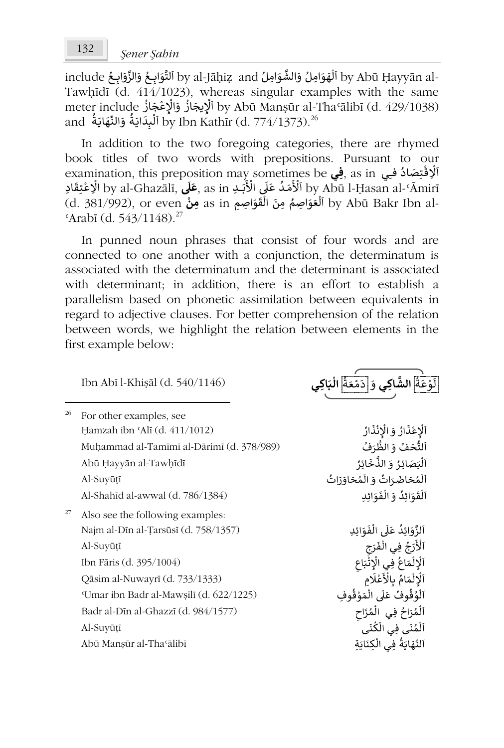include وَالزَّوَابِعُ وَالزَّوَابِعُ لَّا by al-Jāḥiẓ and أَلْقَوَابِعُ وَالزَّوَابِعُ Ly Abū Ḥayyān al-َا<br>آ ُ َُ ፡<br>የ ا َTawḥīdī (d. 414/1023), whereas singular examples with the same meter include ُ ᘌجَ از ِ لإ ᠐ جَ از ِ ع الإ و by Abū Manṣūr al-Thaʿālibī (d. 429/1038) ֧֦֖֧֦֦֧֝֝֝֝֝֝֝֝֓֟֓֓<u>֦</u> ا ُ .<br>م י<br>י ֖֖֖֖֖֚֚֚֚֚֚֚֚֚֚֚֚֚֚֝֝֝֝֝֝֝֝**֚** neter include الإيجاز والإعتبار and أونا المنطقة<br>26 by Ibn Kathīr (d. 774/1373).<sup>26 ا</sup>لمُبِدَايَةُ وَالنَّهَايَةُ ์<br>เ ֖֖֖֖֖֖֚֚֚֚֚֚֚֚֚֚֚֚֚֝֝֝֝֝֟֝**֞**  $\frac{1}{2}$ َ᠔

In addition to the two foregoing categories, there are rhymed book titles of two words with prepositions. Pursuant to our ook titles of two words with prepositions. I distant to our<br>اَلْإِقْتِصَادُ فِي as in فِي as in فِي as in فِي با<br>و لا<br>ۋ ْ ادِ قَبِصَاد قَبِي as in ِ<del>فِي</del> as in ِفِي as in ِالْمَسْمَاد الله examinauon, uns preposiuon may someumes be ֧֖֖֧֚֚֚֚֚֚֚֚֚֚֝֝<u>֚</u> ׇ֧֦֧֬<u>֓</u> !<br>በ ا<br>و استمداد التاريخ العام العربية التاريخ as in مستمدان by Abū I-ṇasan al- Anini<br>by Abū Bakr Ibn al- وفي as in مون الفقواطِيع التاريخ as in مون الفقواطِيع التاريخ التاريخ التاريخ ال ነ<br>የ َُ ᠔  $\frac{\text{4}}{27}$  (d. 543/1148).<sup>27</sup>

In punned noun phrases that consist of four words and are connected to one another with a conjunction, the determinatum is associated with the determinatum and the determinant is associated with determinant; in addition, there is an effort to establish a parallelism based on phonetic assimilation between equivalents in regard to adjective clauses. For better comprehension of the relation between words, we highlight the relation between elements in the first example below:

| Ibn Abī l-Khişāl (d. 540/1146)            | لَوْعَةَ الشَّاكِي وَ إِدَمْعَةُ الْبَاكِر |
|-------------------------------------------|--------------------------------------------|
| For other examples, see                   |                                            |
| Hamzah ibn 'Alī (d. 411/1012)             | اَلْإِعْذَارُ وَ الْإِنْذَارُ              |
| Muhammad al-Tamīmī al-Dārimī (d. 378/989) | اَلتُّحَفُ وَ الظُّرَفُ                    |
| Abū Ḥayyān al-Tawḥīdī                     | اَلْبَصَائِرُ وَ الذَّخَائِرُ              |
| Al-Suyūțī                                 | اَلْمُحَاضَرَاتُ وَ الْمُحَاوَرَاتُ        |
| Al-Shahīd al-awwal (d. 786/1384)          | اَلْقَوَائِدُ وَ الْفَوَائِد               |
| Also see the following examples:          |                                            |
| Najm al-Dīn al-Țarsūsī (d. 758/1357)      | اَلزَّوَائِدُ عَلَى الْفَوَائِدِ           |
| Al-Suyūțī                                 | ٱلْأَرَجُ فِي الْفَرَجِ                    |
| Ibn Fāris (d. 395/1004)                   | اَلْإِلْمَاعُ فِي الْإِتْبَاعِ             |
| Qāsim al-Nuwayrī (d. 733/1333)            | اَلْإِلْمَامُ بِالْأَعْلَامِ               |
| 'Umar ibn Badr al-Mawsilī (d. 622/1225)   | اَلْوُقُوفُ عَلَى الْمَوْقُوف              |
| Badr al-Din al-Ghazzi (d. 984/1577)       | ٱلْمُرَاحُ فِي الْمُزَاحِ                  |
| Al-Suyūțī                                 | اَلْمُنِّي فِي الْكُنِّي                   |
| Abū Manşūr al-Thaʻālibī                   | اَلنِّهَايَةُ فِي الْكِنَايَةِ             |
|                                           |                                            |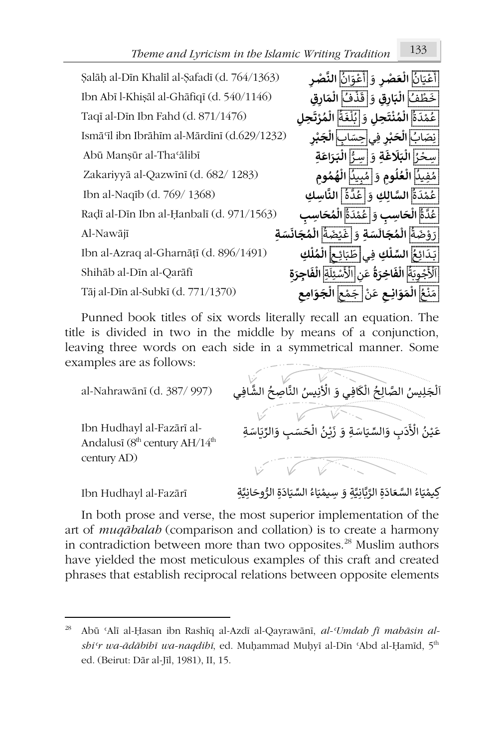# *Theme and Lyricism in the Islamic Writing Tradition* 133

Salāh al-Dīn Khalīl al-Safadī (d. 764/1363) أ ٍ<br>پ .<br>. عْ<u>يَانُ</u> الْعَصْرِ وَ ֦֧֦֧֦֧֦֧֦֧֦֧֝֜*֚* **᠔** ᠐ أ ُ ֺ֦֦֦֖֖֖֖֖֖֪ׅ֦֖֧ׅ֧ׅ֖֧֧֧ׅ֧ׅ֧֧֧ׅ֖֧֚֚֚֚֚֚֚֚֚֚֚֚֚֚֚֚֝֝֝֝֬֝֝֝֝֝֟֓֝֬֝֓֝֬֜֝֓֝֬֝֬֜֓֝֬֝֬֜֝ ان و ع **َّ الن ᠒ر صـ** ֦֧֦֧֦֧֦֧֦֧֦֧֦֧֝ **ْ**Ibn Abī l-Khiṣāl al-Ghāfiqī (d. 540/1146) َ ْ ُف <sup>خ</sup> **ِق ار** ط **᠒ َ ᘘ ال** و َ ق فُ **᠒** ذ **ار م ِق ال ᠔** َ֦֧<u>֝</u> **َ᠔** Taqī al-Dīn Ibn Fahd (d. 871/1476) ُ ع ٍ<br>پو هَدَة<mark>َ</mark> الْمُنْتَحِلِ وَ[بُلْغَةُ] الْمُزَّتَحِلِ َ د ֦֧<sup>֦</sup> **ْ ُ ᠔** َُ ُ ።<br>የ **ُ ᠔ ْ** Ismāʿīl ibn Ibrāhīm al-Mārdīnī (d.629/1232) ;<br>: ن <sup>ص</sup> َ اب ُ **ْ** ا**لْحَبْرِ فِيَ**|حِسَابٍ] الْجَبْرِ **َ ح ᠔ ْ ᠔** Abū Manṣūr al-Thaʿālibī سِ ُ ڑا ֦֧֦֦֧֦֧֦֧֦֧֦֧֧֦֧֧֦֧֧֧֧֧֦֧֝֝֜֟֓֜֜֜֜֜֟֓֜**֞** ح **ِة َ غ َ ᢾ َ ᘘ** <sup>و</sup> ِس َ **ال** ُّ ـر **َ ᘘ ال ـ اع ر ِة ᠔** ነ<br>የ **ََ**Zakariyyā al-Qazwīnī (d. 682/ 1283) ُ م ُ فِي<u>ن</u>ا العُلُومِ وَ ٰمُبِينَا الْهُمُومِ **᠑ ُ ᠔** َ..<br>و ۔<br>و **ُ ُ ᠔** Ibn al-Naqīb (d. 769/ 1368) ُ ع .<br>و ِ<br>مَدَةً السَّالِكِ وَ عُدَّةً النَّاسِكِ َ..<br>و ُ Raḍī al-Dīn Ibn al-Ḥanbalī (d. 971/1563) ُ ع ُ ــة<mark>َ</mark> الْحَاسِبِ وَ عُمْدَةَ الْمُحَاسِبِ **᠔** َ.<br>و ۔<br>پی **ُ ᠔** رَ<u>ّ وَضَمَّ</u>اْ الْمُجَالَسَةِ وَ عَيْضَةُ الْمُجَانَسَةِ ۚ هَذَا اللَّهُ الْمُجَانَسَةِ وَ الْمَجَانَسَةِ الْم ُ ْ **َُ ᠔** َُ ֦֧<sup>֦</sup> **َُ ᠔** Ibn al-Azraq al-Gharnāṭī (d. 896/1491) ـ ـِ<u>ـَدَائِحُ</u> السِّلْكِ فِي طَبَائِعِ الْمُلْكِ ٍ<br>وُ **᠔ ُ ᠔ ᠔** نَسْسَكَ الْفَاخِرَةُ عَنِ <mark>الْأَسْئِلَةِ</mark> الْفَاجِرَةِ ۚ ۚ هَذَا Shihāb al-Dīn al-Qarāfī ا ِّ ֦֧֦֦֦֧֦֧֦֧֦֧֦֧֧֦֧֧֦֧ׅ֧֧֦֧֦֧֧֦֧֦֧֝֝֝֜֓֜֜֓֜֓֜֟֓֜֓֓ **ُ ᠔** لِ<br>الْأَسْئِلَةِ الْ**فَاجِرَةِ ᠔** Tāj al-Dīn al-Subkī (d. 771/1370) َ م ع ن **ِان َ و َ م ال ــ ᠒ ع** ن َ ع َ ᠒ ج ع م **َ و َ ج ال ᠒ ِامع** ُ ْ **᠔** ْ ់<br>ខ្មែ **᠔**

Punned book titles of six words literally recall an equation. The title is divided in two in the middle by means of a conjunction, leaving three words on each side in a symmetrical manner. Some examples are as follows:

| al-Nahrawānī (d. 387/997)                                                          | اَلْجَلِيسُ الصَّالِحُ الْكَافِى وَ الْأَنِيسُ النَّاصِحُ الشَّافِي |
|------------------------------------------------------------------------------------|---------------------------------------------------------------------|
| Ibn Hudhayl al-Fazārī al-<br>Andalusī (8 <sup>th</sup> century AH/14 <sup>th</sup> | عَيْنُ الْأَدَبِ وَالسِّيَاسَةِ وَ زَيْنُ الْحَسَبِ وَالرِّيَاسَةِ  |
| century AD)                                                                        |                                                                     |

لِّيمْيَاءُ السَّعَادَةِ الرَّبَّانِيَّةِ وَ سِيمْيَاءُ السِّيَادَةِ الرُّوحَانِيَّةِ ۖ Ibn Hudhayl al-Fazārī َُْ ُ ֦֧<sup>֟</sup> َُّ

In both prose and verse, the most superior implementation of the art of *muqābalah* (comparison and collation) is to create a harmony in contradiction between more than two opposites.<sup>28</sup> Muslim authors have yielded the most meticulous examples of this craft and created phrases that establish reciprocal relations between opposite elements

<sup>28</sup> Abū ʿAlī al-Ḥasan ibn Rashīq al-Azdī al-Qayrawānī, *al-ʿUmdah fī mahāsin alshiʿr wa-ādābihī wa-naqdihī*, ed. Muḥammad Muḥyī al-Dīn ʿAbd al-Ḥamīd, 5th ed. (Beirut: Dār al-Jīl, 1981), II, 15.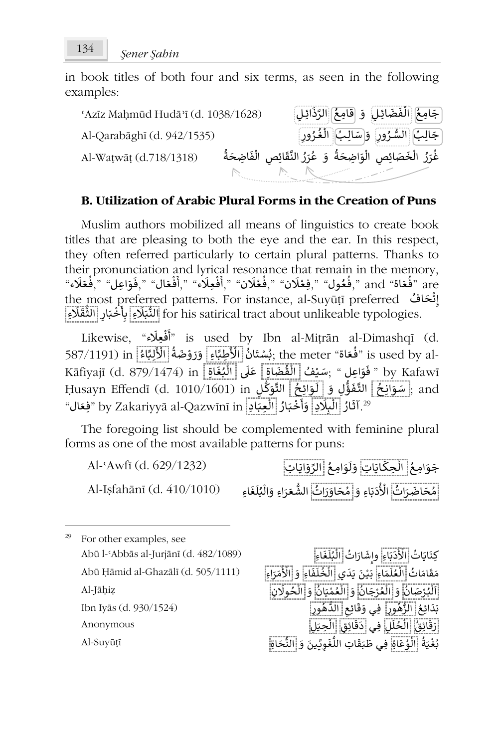in book titles of both four and six terms, as seen in the following examples:

ʿAzīz Maḥmūd Hudāʾī (d. 1038/1628) ِ جَامِعُ الْفَضَائِلِ ۚ وَ اقْلَمِعُ الرَّذَائِلِ ᠔ المعالمية<br>المعالمية ُAl-Qarabāghī (d. 942/1535) السُّ بُ ِ ال ِال ج ـ سَ َ ᠒ و ور ر ـ غ ُب ال ᠒ ور رَُُ ᠔ ـ ُAl-Waṭwāṭ (d.718/1318) َ و ة اضحَ ِ َ و ᠒ص ال ِ ص َ ائ َ خ ال ر َ ر غ ة ِاضحَ َ ف ᠒ص ال ِ ائ ق َّ الن ر َ ر ع ُ ፡<br>የ ᠔ ٍ<br>' ُ ُ ፡<br>የ َِّ .<br>م

## **B. Utilization of Arabic Plural Forms in the Creation of Puns**

Muslim authors mobilized all means of linguistics to create book titles that are pleasing to both the eye and the ear. In this respect, they often referred particularly to certain plural patterns. Thanks to their pronunciation and lyrical resonance that remain in the memory, ne memory, ,فَعَادَ "man esonance that remain in the memory", فَعَادَ"<br>and "فُتَاة" and ",فَعَادَ" ",فَغَادَن" ",فَقَلَادَ ",أَفْعِلَاء ",أَفْعَال ",فَقاطِل ",فَعَادَه ",فَعَلَاء ُ ֺ֖֖֖֖֖֖֖֚֚֚֚֚֚֚֚֚֚֚֚֚֚֚֝֝֝֟֝**֚** ْ ֦֧֦֧֦֧<u>֦</u> ْ ُ ֦֧֦֧֦֧֦֧֦֧֦֧֦֟ ٍُ<br>په ֺ֖֖֖֖֖֖֖֖֪֪֪֦֖֪֪֪֪֪֪֪֪֪֪֪֪֪֪֪֪֪֪֪֪֪֚֚֚֚֚֚֚֚֚֚֚֚֚֚֚֚֚֚֝֟֝֟֓֟֓֟֓֡֟֓֟֓֞֟֓֡֟֓֞֟֟֓֞֞֟ ່: the most preferred patterns. For instance, al-Suyūṭī preferred إِنْهَافُ the most preferred patterns. For instance, al-Suyūṭī preferred ໍ່ إ نَّ التَّابِينِ for his satirical tract about unlikeable typologies. تَشْبَكُرْءِ أَبِأَخْبَادٍ [الثُّفَلَاءِ َْ

ل<br>فعِلَاء" ,Likewise ْ ᠐ أ "is used by Ibn al-Miṭrān al-Dimashqī (d. 587/1191) in ُ اء ᘘ ِ ل َ ْ الأ ة ضَ و َ ر َ ِاء و َّ ِطᘘ َُّ ֦֧<sup>֟</sup> ِ الْكُمْسِينَانُ الْمَسْتَانُ الْمَسْتَانُ الْأَسْتَانُ الْأَسْتَانُ الْأَسْتَانُ الْأَسْتَانُ الْ<br>نُفَعَاةَ" is used by al- (بُسْتَانُ الْأَ ر<br>و َُ ُ سَنَّ الْمُقْضَاةِ عَلَى الْمُنْتَجِمَّةِ الْمَسْلِمَاتِينَ (d. 879/1474) in الْمَجْمَعَةِ Kāfiyajī (d. 879/1474) in ُ ᠔ ِّ 、<br>i Ḥusayn Effendī (d. 1010/1601) in ِ ـل ᡑ ᜧ َ و َّ الت ِ ـح ائ ـو ᠐ ل َ ِل و ُّ ؤ َ ـف َّ الت ِ ـح ان و and ; سَ ٍَُّ **َ** َ"فَبَارُ الْعِبَادِ by Zakariyyā al-Qazwīnī in "فِعَال ـ ።<br>የ ُ **ٔ** ،تعونِ و <u>التراج</u><br>2<sup>9</sup>.آثَارُ اللْبِلَادِ وَأَ أ ᠔ ।<br>१

The foregoing list should be complemented with feminine plural forms as one of the most available patterns for puns:

جَوَامِعُ <mark>الْحِكَايَاتِ</mark> وَلَوَامِعُ الرَّوَايَاتِ Al-ʿAwfī (d. 629/1232) ُ ፡<br>የ ُ ֺ֧֖֖֖֖֖֖֖֖֚֚֚֚֚֚֚֚֚֚֚֚֚֚֚֝֬**֓** Al-Iṣfahānī (d. 410/1010) وَإِمْحَاوَزَاتُ الشُّعَرَاءِ وَالْبُلَغَاءِ (Al-Iṣfahānī (d. 410/1010 ََُ֖֖֖֢ׅ֖֚֚֚֚֚֚֚֚֚֚֚֚֚֚֚֚֚֚֚֝֓֡֓֓֞֓֡֓֓֞֟֓֡֓֓֞֓֡֓֓֓֓֞֬֓֓֞֓֡֓֓֓֞֓ ፡<br>የ ُ

For other examples, see Al-Jāḥiẓ Al-Suyūṭī

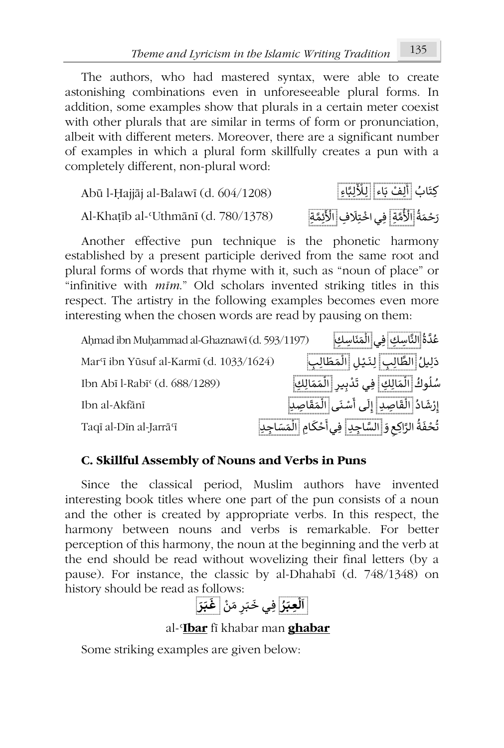The authors, who had mastered syntax, were able to create astonishing combinations even in unforeseeable plural forms. In addition, some examples show that plurals in a certain meter coexist with other plurals that are similar in terms of form or pronunciation, albeit with different meters. Moreover, there are a significant number of examples in which a plural form skillfully creates a pun with a completely different, non-plural word:

Abū l-Ḥajjāj al-Balawī (d.  $604/1208$ ) ِكت أَلِّفْ بَاء<sup>ٍ</sup> لِلْأَلِبَّ <u>ڵ</u>ۯٗڵٟڹ<sub>ۜؖ</sub>ٳءِ Al-Khaṭīb al-ʿUthmānī (d. 780/1378) ُ رَحْمَةُ الْأُمَّةِ ْ لِّأْمَّةٍ فِي اخْتِلَافِ الْأَئِمَّةِ ْ

Another effective pun technique is the phonetic harmony established by a present participle derived from the same root and plural forms of words that rhyme with it, such as "noun of place" or "infinitive with *mīm*." Old scholars invented striking titles in this respect. The artistry in the following examples becomes even more interesting when the chosen words are read by pausing on them:

| Ahmad ibn Muhammad al-Ghaznawī (d. 593/1197) | عُدَّةُ النَّاسِكِ فِي الْمَنَاسِكِ                           |
|----------------------------------------------|---------------------------------------------------------------|
| Mar'ī ibn Yūsuf al-Karmī (d. 1033/1624)      | دَلِيلُ الطَّالِبِ لِنَيْلِ الْمَطَالِبِ                      |
| Ibn Abī l-Rabī <sup>c</sup> (d. 688/1289)    | سُلُوكُ  الْمَالِكِ   فِي تَدْبِير  الْمَمَالِكِ              |
| Ibn al-Akfānī                                | إِرْشَادُ الْقَاصِدِ إِلَى أَسْنَى الْمَقَاصِدِ               |
| Taqī al-Dīn al-Jarrā <sup>q</sup>            | تُحْفَةُ الرَّاكِع وَ السَّاجِدِ إِفِي أَحْكَامِ الْمَسَاجِدِ |

# **C. Skillful Assembly of Nouns and Verbs in Puns**

Since the classical period, Muslim authors have invented interesting book titles where one part of the pun consists of a noun and the other is created by appropriate verbs. In this respect, the harmony between nouns and verbs is remarkable. For better perception of this harmony, the noun at the beginning and the verb at the end should be read without wovelizing their final letters (by a pause). For instance, the classic by al-Dhahabī (d. 748/1348) on history should be read as follows: **َ**

**᠐ ا ُ ـر َ ِعـᘘ ᠔** ِف **ل** ـ ْ ن َ م ᠒ ـر َ ـᘘ َ **َ** ـي خ **ـر َ ـᘘ غ**

al-ʿ**Ibar** fī khabar man **ghabar**

Some striking examples are given below: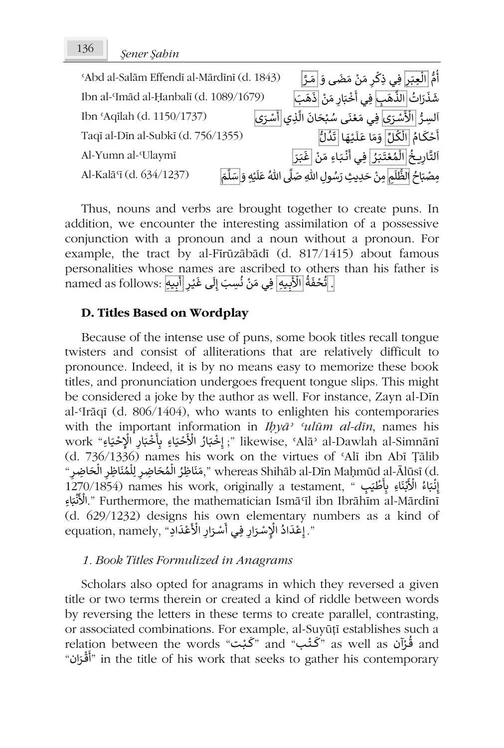| 'Abd al-Salām Effendī al-Mārdīnī (d. 1843) |                                                                                  | أُمُّ الَّعِبَراً فِی ذِکْر مَنْ مَضَى وَ ٰمَـرَّ                 |
|--------------------------------------------|----------------------------------------------------------------------------------|-------------------------------------------------------------------|
| Ibn al-Imād al-Ḥanbalī (d. 1089/1679)      |                                                                                  | شَذَرَاتُ  الذِّهَبِ ۖ فِي أَخْبَارِ مَنْ  ذَهَبَ                 |
| Ibn 'Aqilah (d. 1150/1737)                 | اَلسِرُّ  الْأَسْرَى فِي مَعْنَى سُبْحَانَ الَّذِي  أَسْرَى                      |                                                                   |
| Taqī al-Dīn al-Subkī (d. 756/1355)         |                                                                                  | أَحْكَامُ الْكُلِّ وَمَا عَلَيْهَا ٰ تَدُلُّ                      |
| Al-Yumn al-'Ulaymī                         |                                                                                  | اَلتَّارِيخُ <mark>الْمُعْتَبَرُ</mark> فِي أَنْبَاءِ مَنْ عَبَرَ |
| Al-Kalā'ī (d. 634/1237)                    | مِصْبَاحُ الظُّلَمِ مِنْ حَدِيثِ رَسُولِ اللهِ صَلَّى اللهُ عَلَيْهِ وَإِسَلَّمَ |                                                                   |

Thus, nouns and verbs are brought together to create puns. In addition, we encounter the interesting assimilation of a possessive conjunction with a pronoun and a noun without a pronoun. For example, the tract by al-Fīrūzābādī (d. 817/1415) about famous personalities whose names are ascribed to others than his father is personantes whose hames are ascribed to other<br>. [تُحْفَةُ الْأَبِيهِ] فِي مَنْ نُسِبَ إِلَى غَيْرِ [أَبِيهِ] أ ֦֧֦֧֦֧֦ ُ ْ اِ ؙؚ

### **D. Titles Based on Wordplay**

Because of the intense use of puns, some book titles recall tongue twisters and consist of alliterations that are relatively difficult to pronounce. Indeed, it is by no means easy to memorize these book titles, and pronunciation undergoes frequent tongue slips. This might be considered a joke by the author as well. For instance, Zayn al-Dīn al-ʿIrāqī (d. 806/1404), who wants to enlighten his contemporaries with the important information in *Ihyā*<sup>*s*</sup> *'ulūm al-dīn*, names his work "إِخْبَارُ الْأَحْيَاءِ بِأَخْبَارِ الْإِحْيَاءِ" likewise, 'Alāʾ al-Dawlah al-Simnānī إ ا<br>ف ֚֡<u>֚</u> َُי<br>: .<br>د ֦֧֦֧֦֧֦֧֦֧֦֧֦֧֦֧֦֧֦֧֦֧֦֧֦֧֦֧֦֧֦֧֦֧֦֧֦֧֦֧֦֧֦֧֦֧֦֧֦֧֦֧֦֧֦֧֧֦֧֦֧֦֧֦֧֦֧֦֧֓֓֓֓֓֓֓֓֓֓֓֓֓֓֓ (d. 736/1336) names his work on the virtues of ʿAlī ibn Abī Ṭālib س المستقبل المستقبل المستقبل المستقبل المستقبل المستقبل المستقبل المستقبل المستقبل المستقبل المستقبل المستقبل<br>أن المستقبل المستقبل المستقبل المستقبل المستقبل المستقبل المستقبل المستقبل المستقبل المستقبل المستقبل المستقبل ِّ ፡<br>የ ُነ<br>ስ ໍ ᠔ سَاطِيْوَ الْمُصَاطِحِينَ بِمَسْاطِحِينَ), wiclcas simiab al-Din Maninud al-Alusi (d.<br>إِنْبَاءُ الْأَبْنَاءِ بِأَطْيَبِ " ,1270/1854 names his work, originally a testament ֦֧֦֧֦֧֦֧֦֧֦֧֦֧֦֧֦֧֧֦֧֦֧֧֦֜֓֜֓ ُ**ٔ** َإِنَّبَاءُ الْأَبْنَاءِ بِأَطْيَبٍ "، 1270/1854) names his work, originally a testament,<br>Nigil ibn Ibrāhīm al-Mārdīnī".الْأَنْبَاءِ ْ ا /<br>ئ (d. 629/1232) designs his own elementary numbers as a kind of ᠐ رَ رَبِّ الْمَسْتَرَارِ فِي أَسْرَارِ الْأَعْدَادِ" (a. 029/1252) designs ins own elementary اِعْدَادُ ال<br>". إعْدَادُ الْإِسْرَارِ فِي أَسْرَارِ الْأَعْدَادِ" (a. amely, "إعْدَادُ الْإِسْرَارِ فِي أَسْرَارِ الْأَعْد َْ ُ֖֖֪֖֚֚֚֚֚֚֚֚֚֚֚֚֚֝֝֝֝֝֝֝֝֝֝֝<br>֧֖֖֖֖֖֖֖֖֖֖֖֖֪֚֚֚֚֚֚֚֚֚֚֚֚֚֚֚֚֚֚֚֚֚֝֩֩֝֝֝֩֩ ْ ْ ֧֦֧֝<u>֓</u>

## *1. Book Titles Formulized in Anagrams*

Scholars also opted for anagrams in which they reversed a given title or two terms therein or created a kind of riddle between words by reversing the letters in these terms to create parallel, contrasting, or associated combinations. For example, al-Suyūṭī establishes such a or associated combinations. For example, al-suyuu establishes such a<br>relation between the words "گَـنْب" as well as قُوْآن and ់<br>• "أَقْرَان" in the title of his work that seeks to gather his contemporary ี<br>:<br>: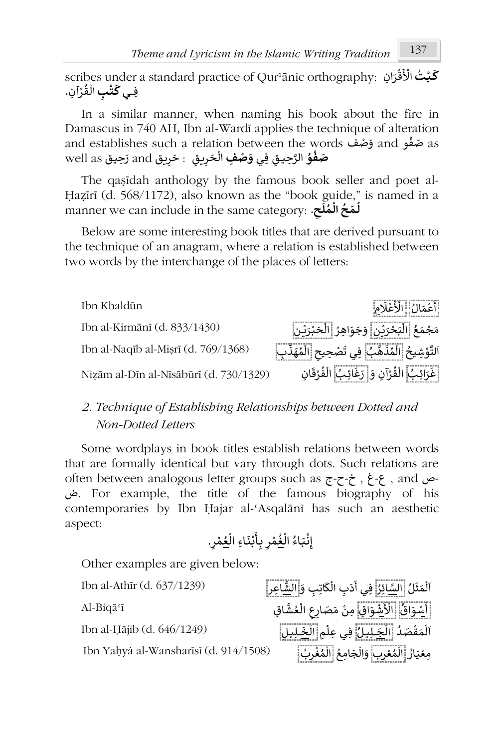scribes under a standard practice of Qurʾānic orthography: **ُ ـت ْ ـᘘ ᠐** ان **ك** ِ َ ر ق َ ْ الأ ْ scribes under<br>فِ**ي كَتْبِ** الْقُرْآنِ. **ْ** <u>់</u> ُ ነ<br>ነ

In a similar manner, when naming his book about the fire in Damascus in 740 AH, Ibn al-Wardī applies the technique of alteration and establishes such a relation between the words حضف and establishes such a relation between the words ْ حَمْظُوُ الرَّحِيقِ فِ**ي وَصْفِ** الْحَرِيقِ : حَرِيق and تَحِيقَ well as **ُ ْ** ا<br>أ

The qaṣīdah anthology by the famous book seller and poet al-Ḥaẓīrī (d. 568/1172), also known as the "book guide," is named in a **᠐** manner we can include in the same category: **لـ َ مـ ال ح ـ مـ لـ ᠒ ح**. **᠑ ᠔ ُُ**

Below are some interesting book titles that are derived pursuant to the technique of an anagram, where a relation is established between two words by the interchange of the places of letters:



# *2. Technique of Establishing Relationships between Dotted and Non-Dotted Letters*

Some wordplays in book titles establish relations between words that are formally identical but vary through dots. Such relations are often between analogous letter groups such as ج-ح-خ , غ-ع , and ص-ض. For example, the title of the famous biography of his contemporaries by Ibn Ḥajar al-ʿAsqalānī has such an aesthetic aspect: ᠐

. ᠒ ر ْ م ُ ع ᠔ ِاء ال ـ َ ـن ْ ᗷ ـأ ِ ᗷ ᠒ ر ْ م ُ غ ᠔ ُ ال ـاء َ ـᘘ ْ ن ِ إ

Other examples are given below:

Ibn Yaḥyá al-Wansharīsī (d. 914/1508) َ

اَلْمَثَلُ <mark>السَّائِزُ</mark> فِي أَدَبِ الْكَاتِبِ وَإِ<mark>الشَّاعِرِ</mark> [ Ibn al-Athīr (d. 637/1239) ᠔ ُ ፡<br>የ ᠐ َي أَدَبِ الْكَاتِبِ وَ<mark>الشَّاعِر</mark>ِ Al-Biqāʿī <sup>᠐</sup> سْ اق و ا َ ْ لأ اق ش ِ َ و ع ال ᠒ ᠒ع صَ ار َ م اق ِمن ِ أ ُ .<br>; ْ ُ ፡<br>የ ْ ِ<br>ش الْمَقْصَدُ <mark>الْخِـلِيل</mark>ِ فِي عِلْمِ الْ<u>خَـلِيل</u>ِ (1249-15 Ibn al-Ḥājib (d. 646/1249 ْ ፡<br>የ ።<br>የ ُ ᠔ ا ፡<br>የ مِعْيَارُ <mark>الْمُ<u>عْر</u>بِ</mark> وَالْجَامِعُ <mark>الْمُغْرِبُ</mark> ់<br>៖ ـ ہ<br>' ٍّ ٍ ።<br>የ ֦֧֦֦֧֦֧֦֧֦֧֝<u>֦</u> ُ ፡<br>የ َ።<br>የ ّ" ْ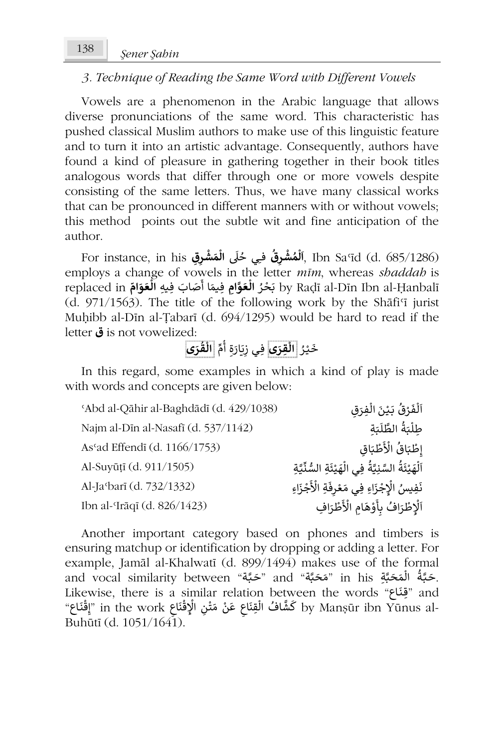# *3. Technique of Reading the Same Word with Different Vowels*

Vowels are a phenomenon in the Arabic language that allows diverse pronunciations of the same word. This characteristic has pushed classical Muslim authors to make use of this linguistic feature and to turn it into an artistic advantage. Consequently, authors have found a kind of pleasure in gathering together in their book titles analogous words that differ through one or more vowels despite consisting of the same letters. Thus, we have many classical works that can be pronounced in different manners with or without vowels; this method points out the subtle wit and fine anticipation of the author.

For instance, in his **ْ ش م ل ᠐ ا ـ ᠒ق ر** فِᅮ ᠐ ᣢ ي ح **ش َ م ᠒ ِق ال ـ ر**, Ibn Saʿīd (d. 685/1286) **ُ ᠔ ُ** ُ **ْ ᠔** employs a change of vowels in the letter *mīm*, whereas *shaddah* is ᠐ replaced in ُ ر حْ َ **ِام** ᗷ **َّ و َ ع** ِف ِᘭه **ال** <sup>ص</sup> َ اب َ ا أ ِفᘭم **ّ ام و َ ع ال** by Raḍī al-Dīn Ibn al-Ḥanbalī **᠔** َ**َ᠔**  $(d. 971/1563)$ . The title of the following work by the Shati'i jurist Muḥibb al-Dīn al-Ṭabarī (d. 694/1295) would be hard to read if the letter **ق** is not vowelized:

**ى َ ر ُ ق ᠔ ال** ِّ م ᠑ أ ِ ة َ َ ار ᗫ ᠒ **ى** ِفـي ز **َ ِقر ᠔ ال** ُ ـر ْ ᘭ َ خ

In this regard, some examples in which a kind of play is made with words and concepts are given below:

| 'Abd al-Qāhir al-Baghdādī (d. 429/1038) | اَلْفَرْقُ بَيْنَ الْفِرَقِ                             |
|-----------------------------------------|---------------------------------------------------------|
| Najm al-Dīn al-Nasafī (d. 537/1142)     | طلْبَةُ الطَّلَبَة                                      |
| As'ad Effendī (d. 1166/1753)            | إطْبَاقُ الْأَطْبَاق                                    |
| Al-Suyūțī (d. 911/1505)                 | اَلْهَيْئَةُ السَّنِيَّةُ فِي الْهَيْئَةِ السُّنِّيَّةِ |
| Al-Ja <sup>c</sup> barī (d. 732/1332)   | نَفِيسُ الْإِجْزَاءِ فِي مَعْرِفَةِ الْأَجْزَاءِ        |
| Ibn al-<br>Irāqī (d. 826/1423)          | ٱلْإطْرَافُ بأَوْهَامِ الْأَطْرَافِ                     |
|                                         |                                                         |

Another important category based on phones and timbers is ensuring matchup or identification by dropping or adding a letter. For example, Jamāl al-Khalwatī (d. 899/1494) makes use of the formal and vocal similarity between "حَـَّبَّة" and "مَـَّـه" in his جَـَّـبَّة الله عنها: ا<br>وُ l<br>የ . حبه السلام المستقبل المستقبل المستقبل المستقبل المستقبل المستقبل المستقبل المستقبل المستقبل المستقبل المستقب<br>مستقبل المستقبل المستقبل المستقبل المستقبل المستقبل المستقبل المستقبل المستقبل المستقبل المستقبل المستقبل المس ـ ind فِيتاعِ السَّاءِ السَّاءِ السَّاءِ السَّاءِ السَّاءِ السَّاءِ السَّاءِ السَّاءِ السَّاءِ السَّاءِ السَّاء<br>-by Manṣūr ibn Yūnus al كَشَّافُ الْقِنَاعِ عَنْ مَتْنِ الْإِقْنَاعِ السَّامِيمِينَ أَنْ مَتَّاجِ الْقَنَاعِ " ْ َّ.<br>የ ْໍ່ י<br>: ֦֧֦֧֦֧֦֧֦֧֦֧ׅ֧֦֧ׅ֧֦֧֦֧֘֜֓֓֜֓֓<br>֧֧֧ׅ֧֧֪֜֜֜֓֟֓֟ Buhūtī (d. 1051/1641).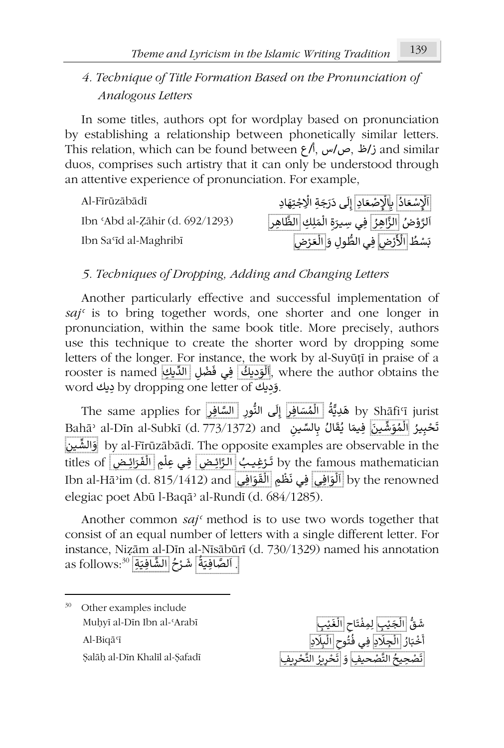# *4. Technique of Title Formation Based on the Pronunciation of Analogous Letters*

In some titles, authors opt for wordplay based on pronunciation by establishing a relationship between phonetically similar letters. This relation, which can be found between  $\zeta/\zeta$ ,  $\omega/\zeta$ ,  $\zeta/\zeta$  and similar duos, comprises such artistry that it can only be understood through an attentive experience of pronunciation. For example,

Ibn Saʿīd al-Maghribī

Al-Fīrūzābādī <sup>᠐</sup> اد ع ِ س ْ ِ لإ ـ ᗷ ا َ ع ِ ص ْ ِد الإ ᠐ ل ِ إ ـ َ ج َ ر َ ِ ى د ِة ا ᢺ ِاد َ ِته ج ا ُ َ֦֧֧֧֧֧֪֧֧֪֧֪֧֪֪֧֪֧֪֪֧֧֟֟֟֓֟֟֟֟֟֟֟֟֟֟֟֟֟֟֟֟֟֟֟֟֟֟֟֟֟֟֟֓֟֟֟֟֟֓֟֟֟֓֟֟֟֓֟֟֟֟֟֟֟֟֟֩֕֓֟֟֟֟֟֟֟֟֟֟֟֟֟֟֟֟֟֟֟֟֟֩֩֩ ْ ֦֧֦֧֦֧֦֧֦֧֧֜֜֜֓ ْ The 'Abd al-Zāhir (d. 692/1293) فَالرَّبُّونَ الْمَلِكِ <mark>الظَّاهِر</mark>ِ Ibn 'Abd al-Zāhir (d. 692/1293) ا<br>ا ٍ<br>و ፟<br>የ رد ی<u>.<br>بَ</u>سْطُ اِلْأَرْض<mark>ِ</mark> ْ لأ ِفـي َ ِول و ُّ ᠒ض الط ا ر َ ع ل ْ ᠔

# *5. Techniques of Dropping, Adding and Changing Letters*

Another particularly effective and successful implementation of *sajʿ* is to bring together words, one shorter and one longer in pronunciation, within the same book title. More precisely, authors use this technique to create the shorter word by dropping some letters of the longer. For instance, the work by al-Suyūṭī in praise of a rooster is named <u>الوّديك</u> في فَضْلِ الدّيكِ), where the author obtains the rooster is named ᠔ سِمِعْتَ حِيثَ بِهِ سَمِعْ الْقَرْبَةِ وَ by dropping one letter of دِيكَ word

The same applies for هَدِيَّةُ <mark>الْمُسَافِر</mark>ِ إِلَى النُّورِ السَّافِرِ The same applies for إ ..<br>م ፡<br>የ ُ Bahāʾ al-Dīn al-Subkī (d. 773/1372) and ٱلسِّينِ المُعَوَّضِّينَ فِيهَا يُقَالُ بِالسِّينِ آلِسَمْينِ ُ َُ ֚֝<u>֓</u> .<br>م ፡<br>የ ُ᠒ ᘭـن ِّ الش و by al-Fīrūzābādī. The opposite examples are observable in the َtitles of يَــْقِيمَا الْقَرَائِضِ الْمُسَلِّمَا titles of تَــْقِيمَا فِي عِلْمِ الْفَرَائِضِ الْمَا ֦֚֚֚֚֚֚֚֚֚֚֚֝֝֝֓ ፡<br>የ .<br>أ َّْ and وَالْمَقَوْمِ إِنَّ الْمَسْتَيْسَةُ مِنْ الْمَسْتَيْسَةُ الْمَسْتَيْسَانَ الْمَسْتَيْسَانَ الْمَسْتَيْسَان<br>by the renowned الْوَافِي فِي نَظْمِ اللَّقَوَافِي and الْمَقَافِي أَيْنَ by the renowned ᠔ ᠔ ፡<br>የ elegiac poet Abū l-Baqāʾ al-Rundī (d. 684/1285).

Another common *sajʿ* method is to use two words together that consist of an equal number of letters with a single different letter. For instance, Niẓām al-Dīn al-Nīsābūrī (d. 730/1329) named his annotation as follows:<sup>30</sup> أَلَّتَّسَا<u>فِيَةٍ</u> الشَّا<u>فِيَةِ</u><br>. اَلصَّافِيَةُ أَسْرُحُ الشَّافِي<u>َةِ</u> الشَّافِيَةِ آ ۔<br>و ֦֧<sup>֟</sup> ُ '<br>í



<sup>&</sup>lt;sup>30</sup> Other examples include Muḥyī al-Dīn Ibn al-ʿArab<sup>ī</sup> بِ Al-Biqāʿī دِ Ṣalāḥ al-Dīn Khalīl al-Ṣafadī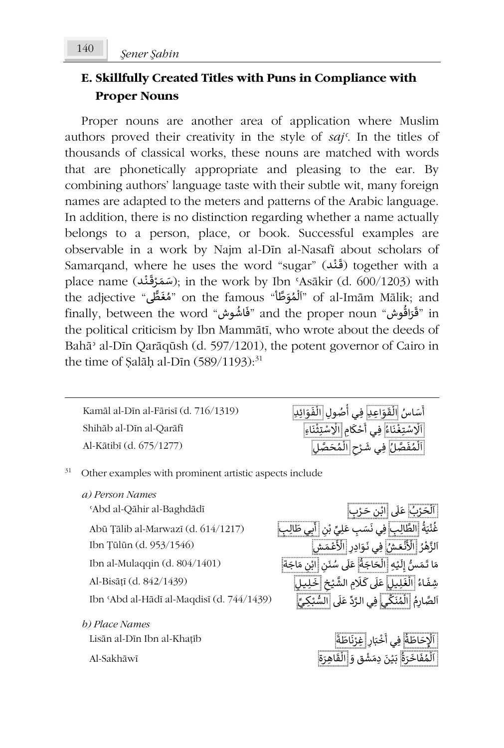# **E. Skillfully Created Titles with Puns in Compliance with Proper Nouns**

Proper nouns are another area of application where Muslim authors proved their creativity in the style of *sajʿ*. In the titles of thousands of classical works, these nouns are matched with words that are phonetically appropriate and pleasing to the ear. By combining authors' language taste with their subtle wit, many foreign names are adapted to the meters and patterns of the Arabic language. In addition, there is no distinction regarding whether a name actually belongs to a person, place, or book. Successful examples are observable in a work by Najm al-Dīn al-Nasafī about scholars of Samarqand, where he uses the word "sugar" ( َ قـ نـد ( together with a ْ place name (سَمَرْقَنْد); in the work by Ibn ʿAsākir (d. 600/1203) with ֦֧<sup>֟</sup> ْ place name (مَتَعَرَّفُ), in the work by IbH Asakii (d. 000/1205) with<br>"أَلْمُوَظَّأ "of al-Imām Mālik; and "أَلْمُوَظَّأ" on the famous "مُغَطَّى" ؚ<br>؞ ؚ<br>؞ ๋<br>የ and the proper noun "تَقْرَاقُوش" and the proper noun "فَاشُوش" of ar miam Malik, and َا<br>پو َthe political criticism by Ibn Mammātī, who wrote about the deeds of Bahāʾ al-Dīn Qarāqūsh (d. 597/1201), the potent governor of Cairo in the time of Şalāḥ al-Dīn  $(589/1193):^{31}$ 

Kamāl al-Dīn al-Fārisī (d. 716/1319) Shihāb al-Dīn al-Qarāfī Al-Kātibī (d. 675/1277)

| أَسَاسُ  الْقَوَاعِدِ  فِي أُصُولِ  الْفَوَائِدِ    |  |
|-----------------------------------------------------|--|
| اَلْإِسْتِغْنَاءُ ٰ فِي أَحْكَامِ  الْإِسْتِثْنَاءِ |  |
| اَلْمُفَصَّلُ فِي شَرْح  الْمُحَصَّلِ               |  |

 $31$  Other examples with prominent artistic aspects include

*a) Person Names* 'Abd al-Qāhir al-Baghdādī Abū Ṭālib al-Marwazī (d. 614/1217) ُ ة َ ᘭ ن ـب غ ِ ِ ال الط ب ِ ـيِّ ـل ـب ع ِ ـسَ َ ِفـي ن ᠒ ن Ibn Ṭūlūn (d. 953/1546) ُر ه َّ ᠐لز َ ُ ـش ا ـع ن َ ْ الأ ᠒ ِادر َ ـو َ ِفـي ن َ ْ الأ ع َ ـش ـم ᠒ Ibn al-Mulaqqin (d.  $804/1401$ ) عاء الغَيْبِيلِ عَلَى كَلَامِ الشَّيْخِ تَخْلِيبِيلِ ۖ<br>شِفَاءُ الْغَيْبِيلِ عَلَى كَلَامِ الشَّيْخِ تَخْلِيبِيلِ ۖ Ibn ʿAbd al-Hādī al-Maqdisī (d. 744/1439) *b) Place Names*

Lisān al-Dīn Ibn al-Khaṭīb Al-Sakhāwī

ِ<br>اَلْحَرْبُ عَلَى إِبْنِ حَرْبٍ ۱.<br>۱ ا ֦֧֦֧֦֧֦֧֦֧֦֧֦֧֦֧֦֧֦֧֦֧֦֧֦֧֦֧֦֧֧֦֧֦֧֜֓֓֓֓ ْ ٍّ ֖֖֖֖֪֪֪֦֧֧֚֚֚֚֚֚֚֚֚֚֚֚֝֝֝֝֝֝֝֝֝֝֝֝֬֝֝֝֟֝֟֝֬֝֟֟֓֟֓֟֓֝֬֝֓֝֬֝ ْ**ّ** ።<br>ም أ<u>بي</u> طَالِب ْ ْ ֦֧֧֟֓֓֓<u>֓</u>֖֓ ۠<sup>ّ</sup> ـᘭ ᠐ ل ِ ـس إ َ ُّ ـم َ ا ت م ة َ حَ اج ال ᠒ ـن َ ن سُ ᠐ ᣢ َ ع اب ᠒ ن َ م ة َ اج َُ ᠔ ֖֖֖֦֦֦֦֪֦֦֪֦֧֦֪֦֧֦֪֦֪֦֪֦֪֦֪֪֦֪֪֦֚֚֚֚֚֚֝֝֝֝֟֓֟֓֟֓֟֓֟֓֝֬֝֟֓֟֓֟֓֟֓֟֓֟֓֟֓֟֓֟֓֟֓֟֓֟֓֟ ֺَ<u>֓</u> -<br>የ ֦֧֦֧ َ.<br>م اَلصَّارِمُ الْمُنَكِّى فِي الرَّدِّ عَلَى السُّبْ َ.<br>م ።<br>የ ِّْ ᘘ ِ<br>لسُّبْكِ*يِّ* 

> ُ اًلْإِحَاطَةُ َ $\frac{8}{1}$ ا <mark>ڂٛ</mark>بَارِ ْ ᠐ فِي أَخْبَارِ <mark>غِرْنَاطَةً</mark> َُ ة رَ َ اخ ف م ل ᠐ َ ـن ᘭ َ ب َ ق و ش َ ِدم ِاه َ ق رَ ال ةَ..<br>م ።<br>የ ا ֦֧<u>֦</u> ំ ᠔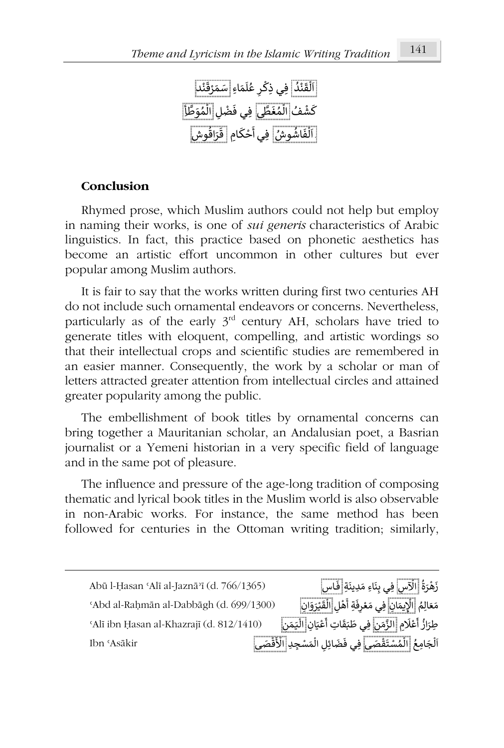

# **Conclusion**

Rhymed prose, which Muslim authors could not help but employ in naming their works, is one of *sui generis* characteristics of Arabic linguistics. In fact, this practice based on phonetic aesthetics has become an artistic effort uncommon in other cultures but ever popular among Muslim authors.

It is fair to say that the works written during first two centuries AH do not include such ornamental endeavors or concerns. Nevertheless, particularly as of the early  $3<sup>rd</sup>$  century AH, scholars have tried to generate titles with eloquent, compelling, and artistic wordings so that their intellectual crops and scientific studies are remembered in an easier manner. Consequently, the work by a scholar or man of letters attracted greater attention from intellectual circles and attained greater popularity among the public.

The embellishment of book titles by ornamental concerns can bring together a Mauritanian scholar, an Andalusian poet, a Basrian journalist or a Yemeni historian in a very specific field of language and in the same pot of pleasure.

The influence and pressure of the age-long tradition of composing thematic and lyrical book titles in the Muslim world is also observable in non-Arabic works. For instance, the same method has been followed for centuries in the Ottoman writing tradition; similarly,

Abū l-Ḥasan ʿAlī al-Jaznāʾī (d. 766/1365) ُ زَهْرَةُ <mark>الْآس</mark>ِ فِي بِنَاءِ مَدِينَةٍ <mark>ۚ فَاس</mark>ِ ْ ֦֧֦֧֦֧֦֧֦֧֦֧֦֧֦֧֧֦֧֦֧֦֧ׅ֦֧֦֧֦֧֟֜֜֓֜֜֜֜֟֓֟֓֟֓ ـ <sup>ʿ</sup>Abd al-Raḥmān al-Dabbāgh (d. 699/1300) ُ مَعَالِمُ <mark>الْإِيمَانِ</mark> فِي مَعْرِفَةِ أَهْلِ َ֦֧֦֦֦֝֝֟֓֓֓֟֓֟֓֓֟֓֟֓֟֓֟׆֧<br>֩֩֩֩֩֩֩֩֩֩֩֩֩֩֩ ֦֧֦֧֦ .<br>ዩ فِيَ مَعْرِفَةِ أَهْلِ <mark>الْقَيْرَوَانِ</mark> ْ ።<br>የ ا<br>و ʿAlī ibn Ḥasan al-Khazrajī (d. 812/1410) ِ<br>عْلَامِ ゚ ᠐ ِطرَ از ᠒ ن َ م َّ الز ع أ ُ ់<br>រ Ϊ فِي طَبَقَاتِ أَعْيَانِ <mark>الْيَمَن</mark>ِ. ᠔ الْجَامِعُ إِلَ<mark>ّلْمُسْتَقْصَى</mark> فِي فَضَائِلِ الْمَسْجِدِ الْأَقْصَى ، Ibn ʿAsākir ፡<br>የ ֦֧֦֧֦֧֦֧֦֧֦֧֦֧ׅ֧ׅ֧ׅ֧ׅ֧ׅ֧ׅ֧ׅ֧֘֝֟֝֜֓֜֓֜֓֜֓֜֓֜֓֜֓<br>֧֧ׅ֧֚֝֬֘֓<u>֚</u> ٍّ ᠔ ፡<br>የ ֦֧<u>֝</u>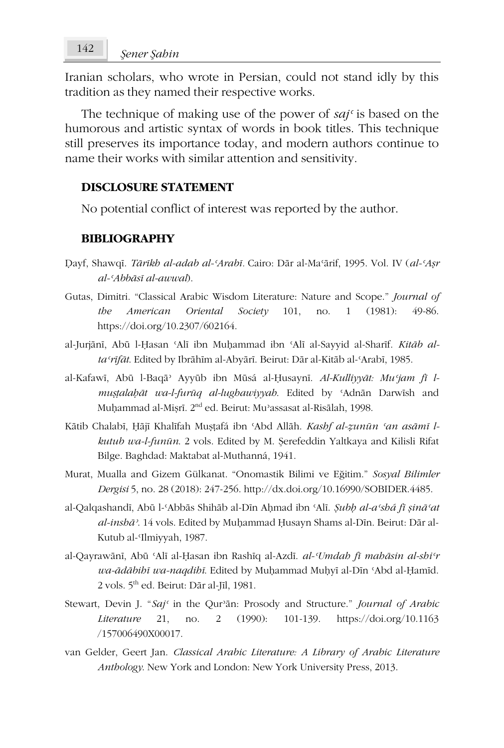Iranian scholars, who wrote in Persian, could not stand idly by this tradition as they named their respective works.

The technique of making use of the power of *sajʿ* is based on the humorous and artistic syntax of words in book titles. This technique still preserves its importance today, and modern authors continue to name their works with similar attention and sensitivity.

## **DISCLOSURE STATEMENT**

No potential conflict of interest was reported by the author.

# **BIBLIOGRAPHY**

- Ḍayf, Shawqī. *Tārīkh al-adab al-ʿArabī.* Cairo: Dār al-Maʿārif, 1995. Vol. IV (*al-ʿAṣr al-ʿAbbāsī al-awwal*).
- Gutas, Dimitri. "Classical Arabic Wisdom Literature: Nature and Scope." *Journal of the American Oriental Society* 101, no. 1 (1981): 49-86. https://doi.org/10.2307/602164.
- al-Jurjānī, Abū l-Ḥasan ʿAlī ibn Muḥammad ibn ʿAlī al-Sayyid al-Sharīf. *Kitāb altaʿrīfāt*. Edited by Ibrāhīm al-Abyārī. Beirut: Dār al-Kitāb al-ʿArabī, 1985.
- al-Kafawī, Abū l-Baqāʾ Ayyūb ibn Mūsá al-Ḥusaynī. *Al-Kulliyyāt: Muʿjam fī lmuṣṭalaḥāt wa-l-furūq al-lughawiyyah*. Edited by ʿAdnān Darwīsh and Muhammad al-Misrī. 2<sup>nd</sup> ed. Beirut: Mu<sup>3</sup>assasat al-Risālah, 1998.
- Kātib Chalabī, Ḥājī Khalīfah Muṣṭafá ibn ʿAbd Allāh. *Kashf al-ẓunūn ʿan asāmī lkutub wa-l-funūn*. 2 vols. Edited by M. Şerefeddin Yaltkaya and Kilisli Rifat Bilge. Baghdad: Maktabat al-Muthanná, 1941.
- Murat, Mualla and Gizem Gülkanat. "Onomastik Bilimi ve Eğitim." *Sosyal Bilimler Dergisi* 5, no. 28 (2018): 247-256. http://dx.doi.org/10.16990/SOBIDER.4485.
- al-Qalqashandī, Abū l-ʿAbbās Shihāb al-Dīn Aḥmad ibn ʿAlī. *Ṣubḥ al-aʿshá fī ṣināʿat al-inshāʾ*. 14 vols. Edited by Muḥammad Ḥusayn Shams al-Dīn. Beirut: Dār al-Kutub al-ʿIlmiyyah, 1987.
- al-Qayrawānī, Abū ʿAlī al-Ḥasan ibn Rashīq al-Azdī. *al-ʿUmdah fī mahāsin al-shiʿr wa-ādābihī wa-naqdihī*. Edited by Muḥammad Muḥyī al-Dīn ʿAbd al-Ḥamīd. 2 vols. 5th ed. Beirut: Dār al-Jīl, 1981.
- Stewart, Devin J. "*Sajʿ* in the Qurʾān: Prosody and Structure." *Journal of Arabic Literature* 21, no. 2 (1990): 101-139. https://doi.org/10.1163 /157006490X00017.
- van Gelder, Geert Jan. *Classical Arabic Literature: A Library of Arabic Literature Anthology*. New York and London: New York University Press, 2013.